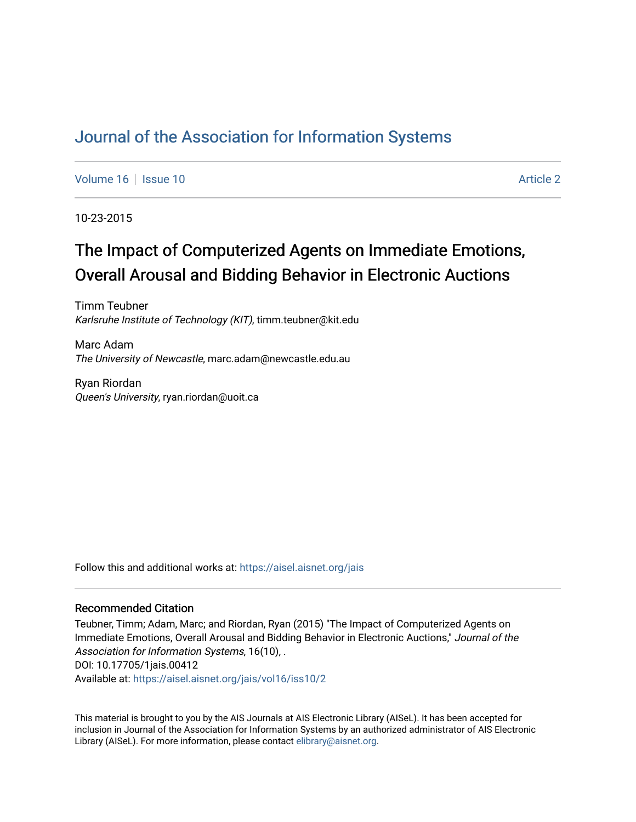# [Journal of the Association for Information Systems](https://aisel.aisnet.org/jais)

[Volume 16](https://aisel.aisnet.org/jais/vol16) September 10 Article 2

10-23-2015

# The Impact of Computerized Agents on Immediate Emotions, Overall Arousal and Bidding Behavior in Electronic Auctions

Timm Teubner Karlsruhe Institute of Technology (KIT), timm.teubner@kit.edu

Marc Adam The University of Newcastle, marc.adam@newcastle.edu.au

Ryan Riordan Queen's University, ryan.riordan@uoit.ca

Follow this and additional works at: [https://aisel.aisnet.org/jais](https://aisel.aisnet.org/jais?utm_source=aisel.aisnet.org%2Fjais%2Fvol16%2Fiss10%2F2&utm_medium=PDF&utm_campaign=PDFCoverPages) 

#### Recommended Citation

Teubner, Timm; Adam, Marc; and Riordan, Ryan (2015) "The Impact of Computerized Agents on Immediate Emotions, Overall Arousal and Bidding Behavior in Electronic Auctions," Journal of the Association for Information Systems, 16(10), . DOI: 10.17705/1jais.00412 Available at: [https://aisel.aisnet.org/jais/vol16/iss10/2](https://aisel.aisnet.org/jais/vol16/iss10/2?utm_source=aisel.aisnet.org%2Fjais%2Fvol16%2Fiss10%2F2&utm_medium=PDF&utm_campaign=PDFCoverPages) 

This material is brought to you by the AIS Journals at AIS Electronic Library (AISeL). It has been accepted for inclusion in Journal of the Association for Information Systems by an authorized administrator of AIS Electronic Library (AISeL). For more information, please contact [elibrary@aisnet.org.](mailto:elibrary@aisnet.org%3E)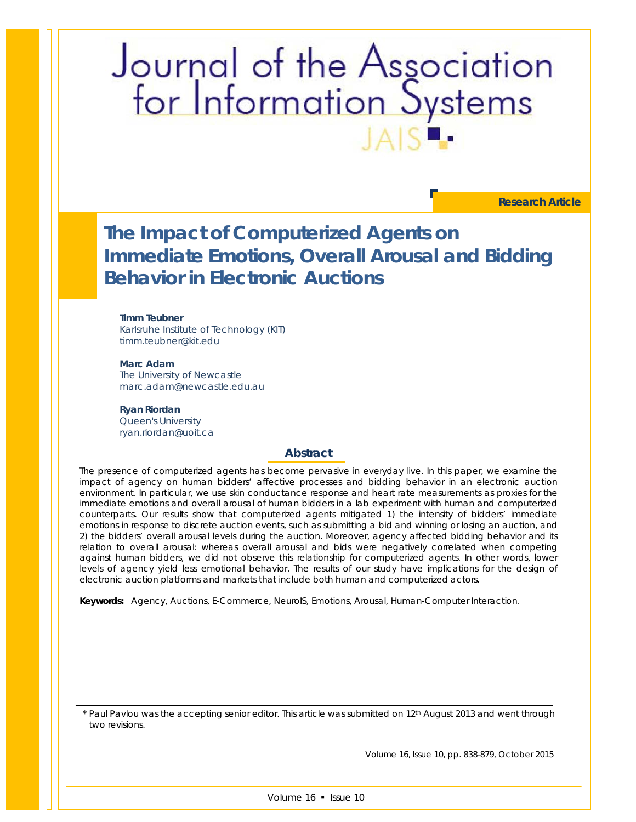# Journal of the Association<br>for Information Systems

**Research Article**

**The Impact of Computerized Agents on Immediate Emotions, Overall Arousal and Bidding Behavior in Electronic Auctions**

**Timm Teubner** Karlsruhe Institute of Technology (KIT) timm.teubner@kit.edu

**Marc Adam** The University of Newcastle marc.adam@newcastle.edu.au

**Ryan Riordan** Queen's University ryan.riordan@uoit.ca

#### **Abstract**

*The presence of computerized agents has become pervasive in everyday live. In this paper, we examine the impact of agency on human bidders' affective processes and bidding behavior in an electronic auction environment. In particular, we use skin conductance response and heart rate measurements as proxies for the immediate emotions and overall arousal of human bidders in a lab experiment with human and computerized counterparts. Our results show that computerized agents mitigated 1) the intensity of bidders' immediate emotions in response to discrete auction events, such as submitting a bid and winning or losing an auction, and 2) the bidders' overall arousal levels during the auction. Moreover, agency affected bidding behavior and its relation to overall arousal: whereas overall arousal and bids were negatively correlated when competing*  against human bidders, we did not observe this relationship for computerized agents. In other words, lower *levels of agency yield less emotional behavior. The results of our study have implications for the design of electronic auction platforms and markets that include both human and computerized actors.*

*Keywords: Agency, Auctions, E-Commerce, NeuroIS, Emotions, Arousal, Human-Computer Interaction.*

\* Paul Pavlou was the accepting senior editor. This article was submitted on 12<sup>th</sup> August 2013 and went through two revisions.

Volume 16, Issue 10, pp. 838-879, October 2015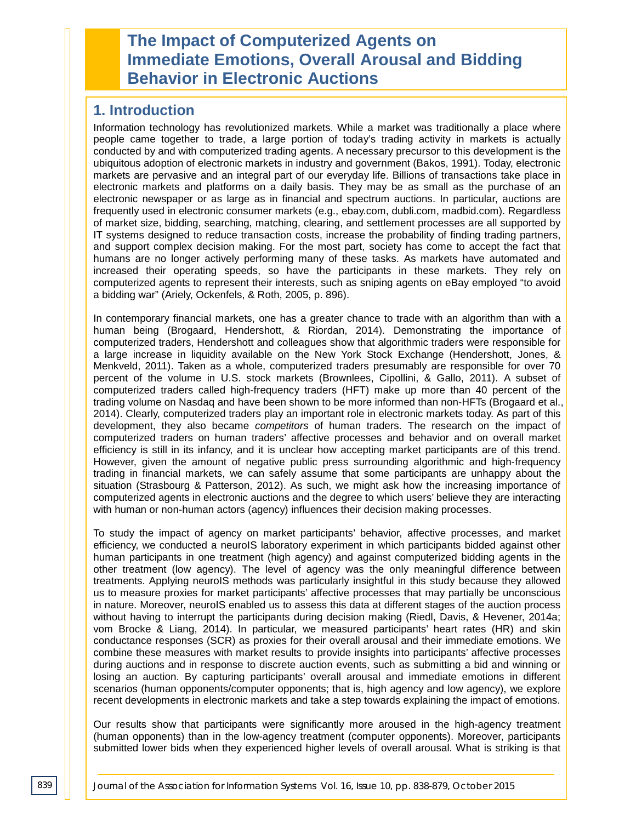# **The Impact of Computerized Agents on Immediate Emotions, Overall Arousal and Bidding Behavior in Electronic Auctions**

# **1. Introduction**

Information technology has revolutionized markets. While a market was traditionally a place where people came together to trade, a large portion of today's trading activity in markets is actually conducted by and with computerized trading agents. A necessary precursor to this development is the ubiquitous adoption of electronic markets in industry and government (Bakos, 1991). Today, electronic markets are pervasive and an integral part of our everyday life. Billions of transactions take place in electronic markets and platforms on a daily basis. They may be as small as the purchase of an electronic newspaper or as large as in financial and spectrum auctions. In particular, auctions are frequently used in electronic consumer markets (e.g., ebay.com, dubli.com, madbid.com). Regardless of market size, bidding, searching, matching, clearing, and settlement processes are all supported by IT systems designed to reduce transaction costs, increase the probability of finding trading partners, and support complex decision making. For the most part, society has come to accept the fact that humans are no longer actively performing many of these tasks. As markets have automated and increased their operating speeds, so have the participants in these markets. They rely on computerized agents to represent their interests, such as sniping agents on eBay employed "to avoid a bidding war" (Ariely, Ockenfels, & Roth, 2005, p. 896).

In contemporary financial markets, one has a greater chance to trade with an algorithm than with a human being (Brogaard, Hendershott, & Riordan, 2014). Demonstrating the importance of computerized traders, Hendershott and colleagues show that algorithmic traders were responsible for a large increase in liquidity available on the New York Stock Exchange (Hendershott, Jones, & Menkveld, 2011). Taken as a whole, computerized traders presumably are responsible for over 70 percent of the volume in U.S. stock markets (Brownlees, Cipollini, & Gallo, 2011). A subset of computerized traders called high-frequency traders (HFT) make up more than 40 percent of the trading volume on Nasdaq and have been shown to be more informed than non-HFTs (Brogaard et al., 2014). Clearly, computerized traders play an important role in electronic markets today. As part of this development, they also became *competitors* of human traders. The research on the impact of computerized traders on human traders' affective processes and behavior and on overall market efficiency is still in its infancy, and it is unclear how accepting market participants are of this trend. However, given the amount of negative public press surrounding algorithmic and high-frequency trading in financial markets, we can safely assume that some participants are unhappy about the situation (Strasbourg & Patterson, 2012). As such, we might ask how the increasing importance of computerized agents in electronic auctions and the degree to which users' believe they are interacting with human or non-human actors (agency) influences their decision making processes.

To study the impact of agency on market participants' behavior, affective processes, and market efficiency, we conducted a neuroIS laboratory experiment in which participants bidded against other human participants in one treatment (high agency) and against computerized bidding agents in the other treatment (low agency). The level of agency was the only meaningful difference between treatments. Applying neuroIS methods was particularly insightful in this study because they allowed us to measure proxies for market participants' affective processes that may partially be unconscious in nature. Moreover, neuroIS enabled us to assess this data at different stages of the auction process without having to interrupt the participants during decision making (Riedl, Davis, & Hevener, 2014a; vom Brocke & Liang, 2014). In particular, we measured participants' heart rates (HR) and skin conductance responses (SCR) as proxies for their overall arousal and their immediate emotions. We combine these measures with market results to provide insights into participants' affective processes during auctions and in response to discrete auction events, such as submitting a bid and winning or losing an auction. By capturing participants' overall arousal and immediate emotions in different scenarios (human opponents/computer opponents; that is, high agency and low agency), we explore recent developments in electronic markets and take a step towards explaining the impact of emotions.

Our results show that participants were significantly more aroused in the high-agency treatment (human opponents) than in the low-agency treatment (computer opponents). Moreover, participants submitted lower bids when they experienced higher levels of overall arousal. What is striking is that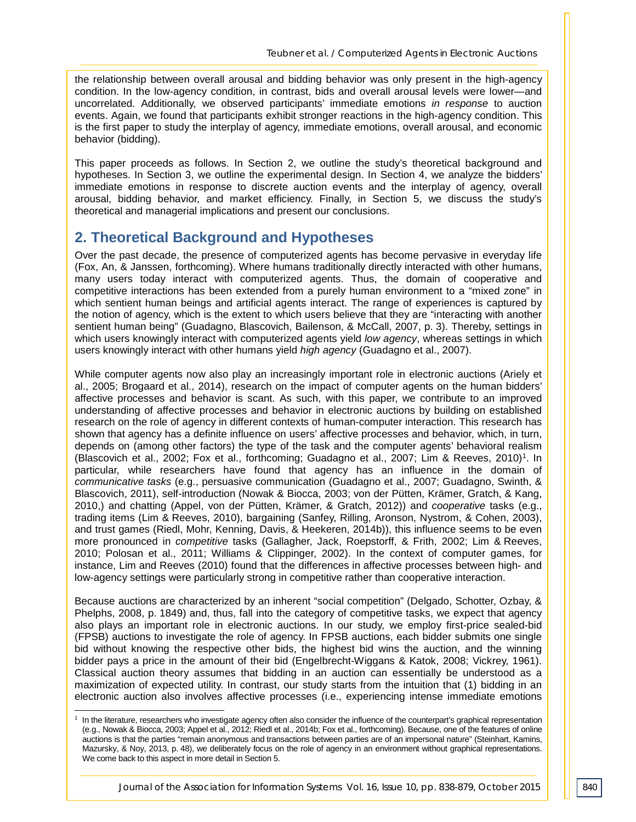the relationship between overall arousal and bidding behavior was only present in the high-agency condition. In the low-agency condition, in contrast, bids and overall arousal levels were lower—and uncorrelated. Additionally, we observed participants' immediate emotions *in response* to auction events. Again, we found that participants exhibit stronger reactions in the high-agency condition. This is the first paper to study the interplay of agency, immediate emotions, overall arousal, and economic behavior (bidding).

This paper proceeds as follows. In Section 2, we outline the study's theoretical background and hypotheses. In Section 3, we outline the experimental design. In Section 4, we analyze the bidders' immediate emotions in response to discrete auction events and the interplay of agency, overall arousal, bidding behavior, and market efficiency. Finally, in Section 5, we discuss the study's theoretical and managerial implications and present our conclusions.

# **2. Theoretical Background and Hypotheses**

Over the past decade, the presence of computerized agents has become pervasive in everyday life (Fox, An, & Janssen, forthcoming). Where humans traditionally directly interacted with other humans, many users today interact with computerized agents. Thus, the domain of cooperative and competitive interactions has been extended from a purely human environment to a "mixed zone" in which sentient human beings and artificial agents interact. The range of experiences is captured by the notion of agency, which is the extent to which users believe that they are "interacting with another sentient human being" (Guadagno, Blascovich, Bailenson, & McCall, 2007, p. 3). Thereby, settings in which users knowingly interact with computerized agents yield *low agency*, whereas settings in which users knowingly interact with other humans yield *high agency* (Guadagno et al., 2007).

While computer agents now also play an increasingly important role in electronic auctions (Ariely et al., 2005; Brogaard et al., 2014), research on the impact of computer agents on the human bidders' affective processes and behavior is scant. As such, with this paper, we contribute to an improved understanding of affective processes and behavior in electronic auctions by building on established research on the role of agency in different contexts of human-computer interaction. This research has shown that agency has a definite influence on users' affective processes and behavior, which, in turn, depends on (among other factors) the type of the task and the computer agents' behavioral realism (Blascovich et al., 2002; Fox et al., forthcoming; Guadagno et al., 2007; Lim & Reeves, 2010)1. In particular, while researchers have found that agency has an influence in the domain of *communicative tasks* (e.g., persuasive communication (Guadagno et al., 2007; Guadagno, Swinth, & Blascovich, 2011), self-introduction (Nowak & Biocca, 2003; von der Pütten, Krämer, Gratch, & Kang, 2010,) and chatting (Appel, von der Pütten, Krämer, & Gratch, 2012)) and *cooperative* tasks (e.g., trading items (Lim & Reeves, 2010), bargaining (Sanfey, Rilling, Aronson, Nystrom, & Cohen, 2003), and trust games (Riedl, Mohr, Kenning, Davis, & Heekeren, 2014b)), this influence seems to be even more pronounced in *competitive* tasks (Gallagher, Jack, Roepstorff, & Frith, 2002; Lim & Reeves, 2010; Polosan et al., 2011; Williams & Clippinger, 2002). In the context of computer games, for instance, Lim and Reeves (2010) found that the differences in affective processes between high- and low-agency settings were particularly strong in competitive rather than cooperative interaction.

Because auctions are characterized by an inherent "social competition" (Delgado, Schotter, Ozbay, & Phelphs, 2008, p. 1849) and, thus, fall into the category of competitive tasks, we expect that agency also plays an important role in electronic auctions. In our study, we employ first-price sealed-bid (FPSB) auctions to investigate the role of agency. In FPSB auctions, each bidder submits one single bid without knowing the respective other bids, the highest bid wins the auction, and the winning bidder pays a price in the amount of their bid (Engelbrecht-Wiggans & Katok, 2008; Vickrey, 1961). Classical auction theory assumes that bidding in an auction can essentially be understood as a maximization of expected utility. In contrast, our study starts from the intuition that (1) bidding in an electronic auction also involves affective processes (i.e., experiencing intense immediate emotions

-

<sup>1</sup> In the literature, researchers who investigate agency often also consider the influence of the counterpart's graphical representation (e.g., Nowak & Biocca, 2003; Appel et al., 2012; Riedl et al., 2014b; Fox et al., forthcoming). Because, one of the features of online auctions is that the parties "remain anonymous and transactions between parties are of an impersonal nature" (Steinhart, Kamins, Mazursky, & Noy, 2013, p. 48), we deliberately focus on the role of agency in an environment without graphical representations. We come back to this aspect in more detail in Section 5.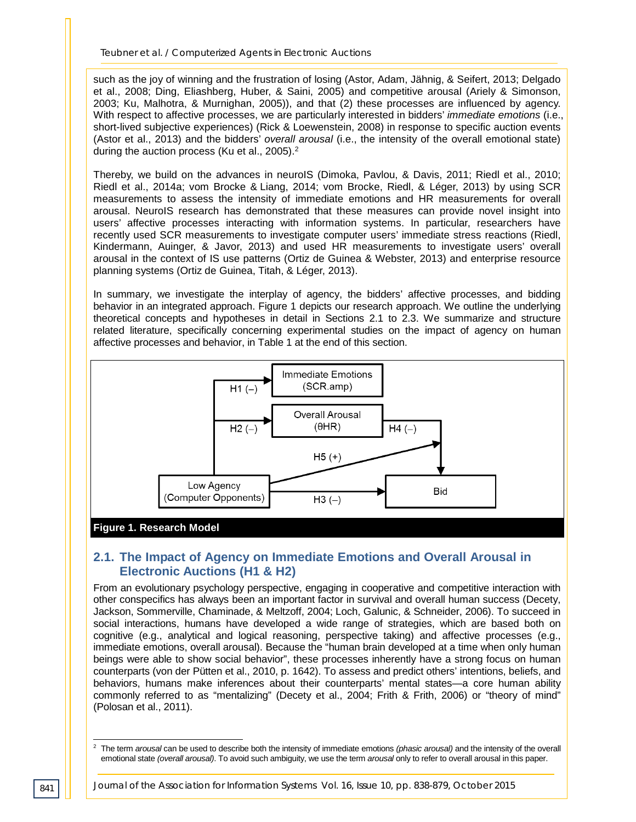such as the joy of winning and the frustration of losing (Astor, Adam, Jähnig, & Seifert, 2013; Delgado et al., 2008; Ding, Eliashberg, Huber, & Saini, 2005) and competitive arousal (Ariely & Simonson, 2003; Ku, Malhotra, & Murnighan, 2005)), and that (2) these processes are influenced by agency. With respect to affective processes, we are particularly interested in bidders' *immediate emotions* (i.e., short-lived subjective experiences) (Rick & Loewenstein, 2008) in response to specific auction events (Astor et al., 2013) and the bidders' *overall arousal* (i.e., the intensity of the overall emotional state) during the auction process (Ku et al., 2005).<sup>2</sup>

Thereby, we build on the advances in neuroIS (Dimoka, Pavlou, & Davis, 2011; Riedl et al., 2010; Riedl et al., 2014a; vom Brocke & Liang, 2014; vom Brocke, Riedl, & Léger, 2013) by using SCR measurements to assess the intensity of immediate emotions and HR measurements for overall arousal. NeuroIS research has demonstrated that these measures can provide novel insight into users' affective processes interacting with information systems. In particular, researchers have recently used SCR measurements to investigate computer users' immediate stress reactions (Riedl, Kindermann, Auinger, & Javor, 2013) and used HR measurements to investigate users' overall arousal in the context of IS use patterns (Ortiz de Guinea & Webster, 2013) and enterprise resource planning systems (Ortiz de Guinea, Titah, & Léger, 2013).

In summary, we investigate the interplay of agency, the bidders' affective processes, and bidding behavior in an integrated approach. Figure 1 depicts our research approach. We outline the underlying theoretical concepts and hypotheses in detail in Sections 2.1 to 2.3. We summarize and structure related literature, specifically concerning experimental studies on the impact of agency on human affective processes and behavior, in Table 1 at the end of this section.



#### **Figure 1. Research Model**

# **2.1. The Impact of Agency on Immediate Emotions and Overall Arousal in Electronic Auctions (H1 & H2)**

From an evolutionary psychology perspective, engaging in cooperative and competitive interaction with other conspecifics has always been an important factor in survival and overall human success (Decety, Jackson, Sommerville, Chaminade, & Meltzoff, 2004; Loch, Galunic, & Schneider, 2006). To succeed in social interactions, humans have developed a wide range of strategies, which are based both on cognitive (e.g., analytical and logical reasoning, perspective taking) and affective processes (e.g., immediate emotions, overall arousal). Because the "human brain developed at a time when only human beings were able to show social behavior", these processes inherently have a strong focus on human counterparts (von der Pütten et al., 2010, p. 1642). To assess and predict others' intentions, beliefs, and behaviors, humans make inferences about their counterparts' mental states—a core human ability commonly referred to as "mentalizing" (Decety et al., 2004; Frith & Frith, 2006) or "theory of mind" (Polosan et al., 2011).

<sup>2</sup> The term *arousal* can be used to describe both the intensity of immediate emotions *(phasic arousal)* and the intensity of the overall emotional state *(overall arousal)*. To avoid such ambiguity, we use the term *arousal* only to refer to overall arousal in this paper. -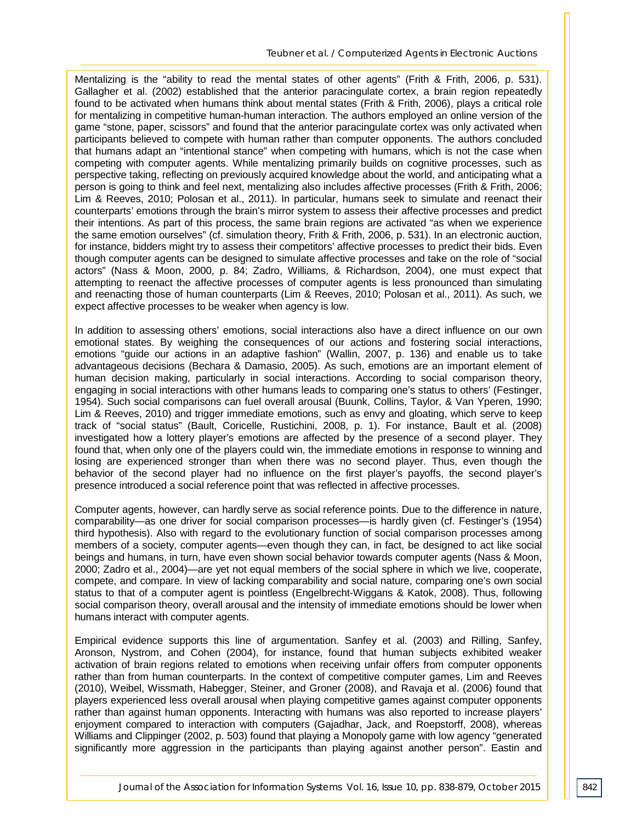Mentalizing is the "ability to read the mental states of other agents" (Frith & Frith, 2006, p. 531). Gallagher et al. (2002) established that the anterior paracingulate cortex, a brain region repeatedly found to be activated when humans think about mental states (Frith & Frith, 2006), plays a critical role for mentalizing in competitive human-human interaction. The authors employed an online version of the game "stone, paper, scissors" and found that the anterior paracingulate cortex was only activated when participants believed to compete with human rather than computer opponents. The authors concluded that humans adapt an "intentional stance" when competing with humans, which is not the case when competing with computer agents. While mentalizing primarily builds on cognitive processes, such as perspective taking, reflecting on previously acquired knowledge about the world, and anticipating what a person is going to think and feel next, mentalizing also includes affective processes (Frith & Frith, 2006; Lim & Reeves, 2010; Polosan et al., 2011). In particular, humans seek to simulate and reenact their counterparts' emotions through the brain's mirror system to assess their affective processes and predict their intentions. As part of this process, the same brain regions are activated "as when we experience the same emotion ourselves" (cf. simulation theory, Frith & Frith, 2006, p. 531). In an electronic auction, for instance, bidders might try to assess their competitors' affective processes to predict their bids. Even though computer agents can be designed to simulate affective processes and take on the role of "social actors" (Nass & Moon, 2000, p. 84; Zadro, Williams, & Richardson, 2004), one must expect that attempting to reenact the affective processes of computer agents is less pronounced than simulating and reenacting those of human counterparts (Lim & Reeves, 2010; Polosan et al., 2011). As such, we expect affective processes to be weaker when agency is low.

In addition to assessing others' emotions, social interactions also have a direct influence on our own emotional states. By weighing the consequences of our actions and fostering social interactions, emotions "guide our actions in an adaptive fashion" (Wallin, 2007, p. 136) and enable us to take advantageous decisions (Bechara & Damasio, 2005). As such, emotions are an important element of human decision making, particularly in social interactions. According to social comparison theory, engaging in social interactions with other humans leads to comparing one's status to others' (Festinger, 1954). Such social comparisons can fuel overall arousal (Buunk, Collins, Taylor, & Van Yperen, 1990; Lim & Reeves, 2010) and trigger immediate emotions, such as envy and gloating, which serve to keep track of "social status" (Bault, Coricelle, Rustichini, 2008, p. 1). For instance, Bault et al. (2008) investigated how a lottery player's emotions are affected by the presence of a second player. They found that, when only one of the players could win, the immediate emotions in response to winning and losing are experienced stronger than when there was no second player. Thus, even though the behavior of the second player had no influence on the first player's payoffs, the second player's presence introduced a social reference point that was reflected in affective processes.

Computer agents, however, can hardly serve as social reference points. Due to the difference in nature, comparability—as one driver for social comparison processes—is hardly given (cf. Festinger's (1954) third hypothesis). Also with regard to the evolutionary function of social comparison processes among members of a society, computer agents—even though they can, in fact, be designed to act like social beings and humans, in turn, have even shown social behavior towards computer agents (Nass & Moon, 2000; Zadro et al., 2004)—are yet not equal members of the social sphere in which we live, cooperate, compete, and compare. In view of lacking comparability and social nature, comparing one's own social status to that of a computer agent is pointless (Engelbrecht-Wiggans & Katok, 2008). Thus, following social comparison theory, overall arousal and the intensity of immediate emotions should be lower when humans interact with computer agents.

Empirical evidence supports this line of argumentation. Sanfey et al. (2003) and Rilling, Sanfey, Aronson, Nystrom, and Cohen (2004), for instance, found that human subjects exhibited weaker activation of brain regions related to emotions when receiving unfair offers from computer opponents rather than from human counterparts. In the context of competitive computer games, Lim and Reeves (2010), Weibel, Wissmath, Habegger, Steiner, and Groner (2008), and Ravaja et al. (2006) found that players experienced less overall arousal when playing competitive games against computer opponents rather than against human opponents. Interacting with humans was also reported to increase players' enjoyment compared to interaction with computers (Gajadhar, Jack, and Roepstorff, 2008), whereas Williams and Clippinger (2002, p. 503) found that playing a Monopoly game with low agency "generated significantly more aggression in the participants than playing against another person". Eastin and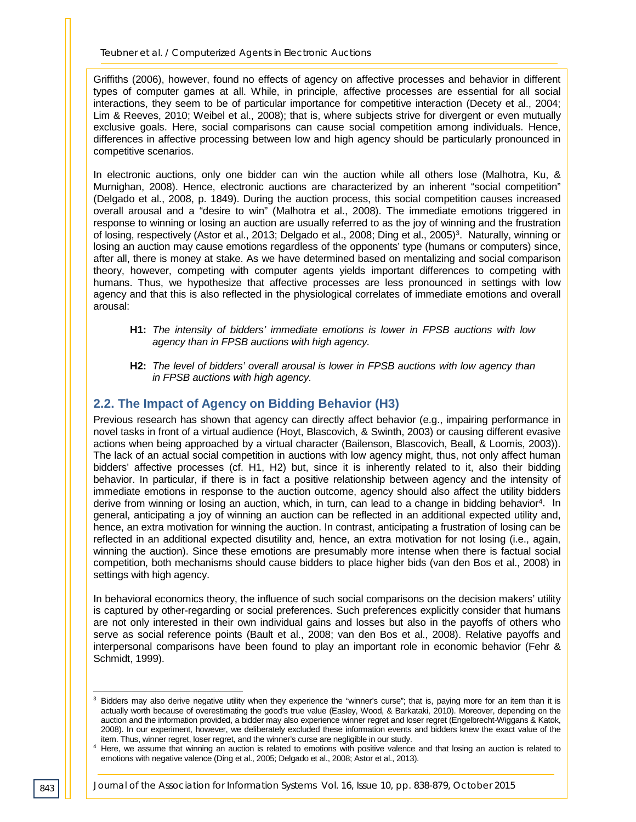Griffiths (2006), however, found no effects of agency on affective processes and behavior in different types of computer games at all. While, in principle, affective processes are essential for all social interactions, they seem to be of particular importance for competitive interaction (Decety et al., 2004; Lim & Reeves, 2010; Weibel et al., 2008); that is, where subjects strive for divergent or even mutually exclusive goals. Here, social comparisons can cause social competition among individuals. Hence, differences in affective processing between low and high agency should be particularly pronounced in competitive scenarios.

In electronic auctions, only one bidder can win the auction while all others lose (Malhotra, Ku, & Murnighan, 2008). Hence, electronic auctions are characterized by an inherent "social competition" (Delgado et al., 2008, p. 1849). During the auction process, this social competition causes increased overall arousal and a "desire to win" (Malhotra et al., 2008). The immediate emotions triggered in response to winning or losing an auction are usually referred to as the joy of winning and the frustration of losing, respectively (Astor et al., 2013; Delgado et al., 2008; Ding et al., 2005)<sup>3</sup>. Naturally, winning or losing an auction may cause emotions regardless of the opponents' type (humans or computers) since, after all, there is money at stake. As we have determined based on mentalizing and social comparison theory, however, competing with computer agents yields important differences to competing with humans. Thus, we hypothesize that affective processes are less pronounced in settings with low agency and that this is also reflected in the physiological correlates of immediate emotions and overall arousal:

- **H1:** *The intensity of bidders' immediate emotions is lower in FPSB auctions with low agency than in FPSB auctions with high agency.*
- **H2:** *The level of bidders' overall arousal is lower in FPSB auctions with low agency than in FPSB auctions with high agency.*

## **2.2. The Impact of Agency on Bidding Behavior (H3)**

Previous research has shown that agency can directly affect behavior (e.g., impairing performance in novel tasks in front of a virtual audience (Hoyt, Blascovich, & Swinth, 2003) or causing different evasive actions when being approached by a virtual character (Bailenson, Blascovich, Beall, & Loomis, 2003)). The lack of an actual social competition in auctions with low agency might, thus, not only affect human bidders' affective processes (cf. H1, H2) but, since it is inherently related to it, also their bidding behavior. In particular, if there is in fact a positive relationship between agency and the intensity of immediate emotions in response to the auction outcome, agency should also affect the utility bidders derive from winning or losing an auction, which, in turn, can lead to a change in bidding behavior4. In general, anticipating a joy of winning an auction can be reflected in an additional expected utility and, hence, an extra motivation for winning the auction. In contrast, anticipating a frustration of losing can be reflected in an additional expected disutility and, hence, an extra motivation for not losing (i.e., again, winning the auction). Since these emotions are presumably more intense when there is factual social competition, both mechanisms should cause bidders to place higher bids (van den Bos et al., 2008) in settings with high agency.

In behavioral economics theory, the influence of such social comparisons on the decision makers' utility is captured by other-regarding or social preferences. Such preferences explicitly consider that humans are not only interested in their own individual gains and losses but also in the payoffs of others who serve as social reference points (Bault et al., 2008; van den Bos et al., 2008). Relative payoffs and interpersonal comparisons have been found to play an important role in economic behavior (Fehr & Schmidt, 1999).

<sup>&</sup>lt;sup>3</sup> Bidders may also derive negative utility when they experience the "winner's curse"; that is, paying more for an item than it is actually worth because of overestimating the good's true value (Easley, Wood, & Barkataki, 2010). Moreover, depending on the auction and the information provided, a bidder may also experience winner regret and loser regret (Engelbrecht-Wiggans & Katok, 2008). In our experiment, however, we deliberately excluded these information events and bidders knew the exact value of the item. Thus, winner regret, loser regret, and the winner's curse are negligible in our study. -

<sup>4</sup> Here, we assume that winning an auction is related to emotions with positive valence and that losing an auction is related to emotions with negative valence (Ding et al., 2005; Delgado et al., 2008; Astor et al., 2013).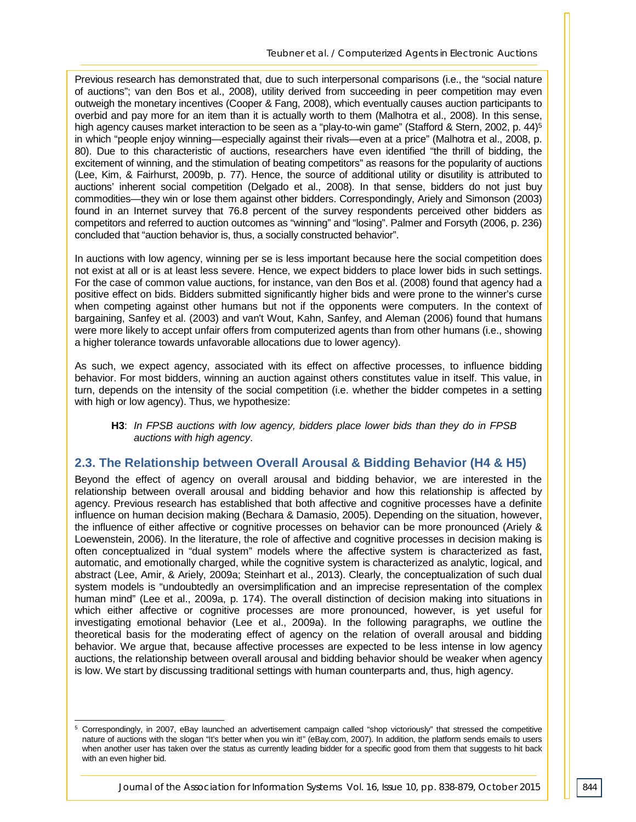Previous research has demonstrated that, due to such interpersonal comparisons (i.e., the "social nature of auctions"; van den Bos et al., 2008), utility derived from succeeding in peer competition may even outweigh the monetary incentives (Cooper & Fang, 2008), which eventually causes auction participants to overbid and pay more for an item than it is actually worth to them (Malhotra et al., 2008). In this sense, high agency causes market interaction to be seen as a "play-to-win game" (Stafford & Stern, 2002, p. 44)<sup>5</sup> in which "people enjoy winning—especially against their rivals—even at a price" (Malhotra et al., 2008, p. 80). Due to this characteristic of auctions, researchers have even identified "the thrill of bidding, the excitement of winning, and the stimulation of beating competitors" as reasons for the popularity of auctions (Lee, Kim, & Fairhurst, 2009b, p. 77). Hence, the source of additional utility or disutility is attributed to auctions' inherent social competition (Delgado et al., 2008). In that sense, bidders do not just buy commodities—they win or lose them against other bidders. Correspondingly, Ariely and Simonson (2003) found in an Internet survey that 76.8 percent of the survey respondents perceived other bidders as competitors and referred to auction outcomes as "winning" and "losing". Palmer and Forsyth (2006, p. 236) concluded that "auction behavior is, thus, a socially constructed behavior".

In auctions with low agency, winning per se is less important because here the social competition does not exist at all or is at least less severe. Hence, we expect bidders to place lower bids in such settings. For the case of common value auctions, for instance, van den Bos et al. (2008) found that agency had a positive effect on bids. Bidders submitted significantly higher bids and were prone to the winner's curse when competing against other humans but not if the opponents were computers. In the context of bargaining, Sanfey et al. (2003) and van't Wout, Kahn, Sanfey, and Aleman (2006) found that humans were more likely to accept unfair offers from computerized agents than from other humans (i.e., showing a higher tolerance towards unfavorable allocations due to lower agency).

As such, we expect agency, associated with its effect on affective processes, to influence bidding behavior. For most bidders, winning an auction against others constitutes value in itself. This value, in turn, depends on the intensity of the social competition (i.e. whether the bidder competes in a setting with high or low agency). Thus, we hypothesize:

**H3**: *In FPSB auctions with low agency, bidders place lower bids than they do in FPSB auctions with high agency*.

#### **2.3. The Relationship between Overall Arousal & Bidding Behavior (H4 & H5)**

Beyond the effect of agency on overall arousal and bidding behavior, we are interested in the relationship between overall arousal and bidding behavior and how this relationship is affected by agency. Previous research has established that both affective and cognitive processes have a definite influence on human decision making (Bechara & Damasio, 2005). Depending on the situation, however, the influence of either affective or cognitive processes on behavior can be more pronounced (Ariely & Loewenstein, 2006). In the literature, the role of affective and cognitive processes in decision making is often conceptualized in "dual system" models where the affective system is characterized as fast, automatic, and emotionally charged, while the cognitive system is characterized as analytic, logical, and abstract (Lee, Amir, & Ariely, 2009a; Steinhart et al., 2013). Clearly, the conceptualization of such dual system models is "undoubtedly an oversimplification and an imprecise representation of the complex human mind" (Lee et al., 2009a, p. 174). The overall distinction of decision making into situations in which either affective or cognitive processes are more pronounced, however, is yet useful for investigating emotional behavior (Lee et al., 2009a). In the following paragraphs, we outline the theoretical basis for the moderating effect of agency on the relation of overall arousal and bidding behavior. We argue that, because affective processes are expected to be less intense in low agency auctions, the relationship between overall arousal and bidding behavior should be weaker when agency is low. We start by discussing traditional settings with human counterparts and, thus, high agency.

<sup>5</sup> Correspondingly, in 2007, eBay launched an advertisement campaign called "shop victoriously" that stressed the competitive nature of auctions with the slogan "It's better when you win it!" (eBay.com, 2007). In addition, the platform sends emails to users when another user has taken over the status as currently leading bidder for a specific good from them that suggests to hit back with an even higher bid. -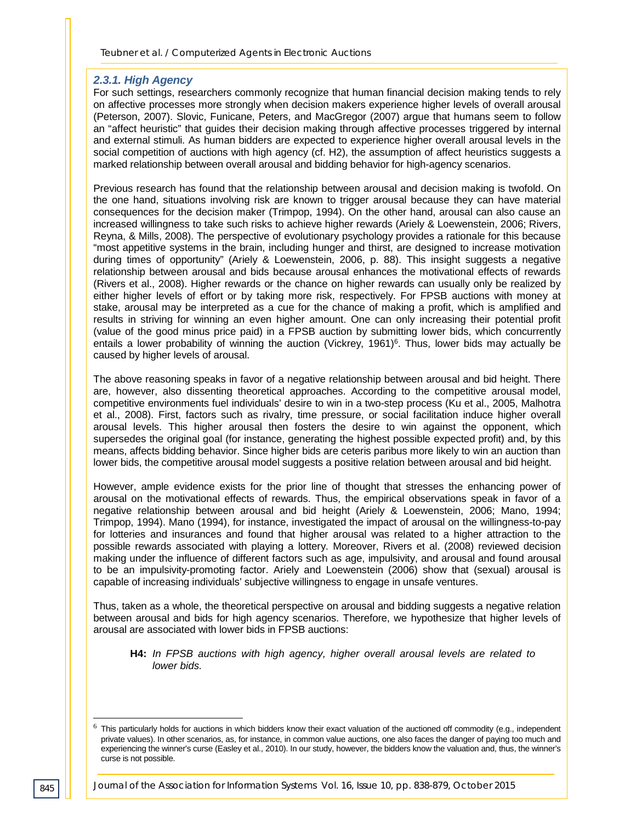#### *2.3.1. High Agency*

For such settings, researchers commonly recognize that human financial decision making tends to rely on affective processes more strongly when decision makers experience higher levels of overall arousal (Peterson, 2007). Slovic, Funicane, Peters, and MacGregor (2007) argue that humans seem to follow an "affect heuristic" that guides their decision making through affective processes triggered by internal and external stimuli. As human bidders are expected to experience higher overall arousal levels in the social competition of auctions with high agency (cf. H2), the assumption of affect heuristics suggests a marked relationship between overall arousal and bidding behavior for high-agency scenarios.

Previous research has found that the relationship between arousal and decision making is twofold. On the one hand, situations involving risk are known to trigger arousal because they can have material consequences for the decision maker (Trimpop, 1994). On the other hand, arousal can also cause an increased willingness to take such risks to achieve higher rewards (Ariely & Loewenstein, 2006; Rivers, Reyna, & Mills, 2008). The perspective of evolutionary psychology provides a rationale for this because "most appetitive systems in the brain, including hunger and thirst, are designed to increase motivation during times of opportunity" (Ariely & Loewenstein, 2006, p. 88). This insight suggests a negative relationship between arousal and bids because arousal enhances the motivational effects of rewards (Rivers et al., 2008). Higher rewards or the chance on higher rewards can usually only be realized by either higher levels of effort or by taking more risk, respectively. For FPSB auctions with money at stake, arousal may be interpreted as a cue for the chance of making a profit, which is amplified and results in striving for winning an even higher amount. One can only increasing their potential profit (value of the good minus price paid) in a FPSB auction by submitting lower bids, which concurrently entails a lower probability of winning the auction (Vickrey,  $1961$ <sup>6</sup>. Thus, lower bids may actually be caused by higher levels of arousal.

The above reasoning speaks in favor of a negative relationship between arousal and bid height. There are, however, also dissenting theoretical approaches. According to the competitive arousal model, competitive environments fuel individuals' desire to win in a two-step process (Ku et al., 2005, Malhotra et al., 2008). First, factors such as rivalry, time pressure, or social facilitation induce higher overall arousal levels. This higher arousal then fosters the desire to win against the opponent, which supersedes the original goal (for instance, generating the highest possible expected profit) and, by this means, affects bidding behavior. Since higher bids are ceteris paribus more likely to win an auction than lower bids, the competitive arousal model suggests a positive relation between arousal and bid height.

However, ample evidence exists for the prior line of thought that stresses the enhancing power of arousal on the motivational effects of rewards. Thus, the empirical observations speak in favor of a negative relationship between arousal and bid height (Ariely & Loewenstein, 2006; Mano, 1994; Trimpop, 1994). Mano (1994), for instance, investigated the impact of arousal on the willingness-to-pay for lotteries and insurances and found that higher arousal was related to a higher attraction to the possible rewards associated with playing a lottery. Moreover, Rivers et al. (2008) reviewed decision making under the influence of different factors such as age, impulsivity, and arousal and found arousal to be an impulsivity-promoting factor. Ariely and Loewenstein (2006) show that (sexual) arousal is capable of increasing individuals' subjective willingness to engage in unsafe ventures.

Thus, taken as a whole, the theoretical perspective on arousal and bidding suggests a negative relation between arousal and bids for high agency scenarios. Therefore, we hypothesize that higher levels of arousal are associated with lower bids in FPSB auctions:

**H4:** *In FPSB auctions with high agency, higher overall arousal levels are related to lower bids.*

-

 $^6$  This particularly holds for auctions in which bidders know their exact valuation of the auctioned off commodity (e.g., independent private values). In other scenarios, as, for instance, in common value auctions, one also faces the danger of paying too much and experiencing the winner's curse (Easley et al., 2010). In our study, however, the bidders know the valuation and, thus, the winner's curse is not possible.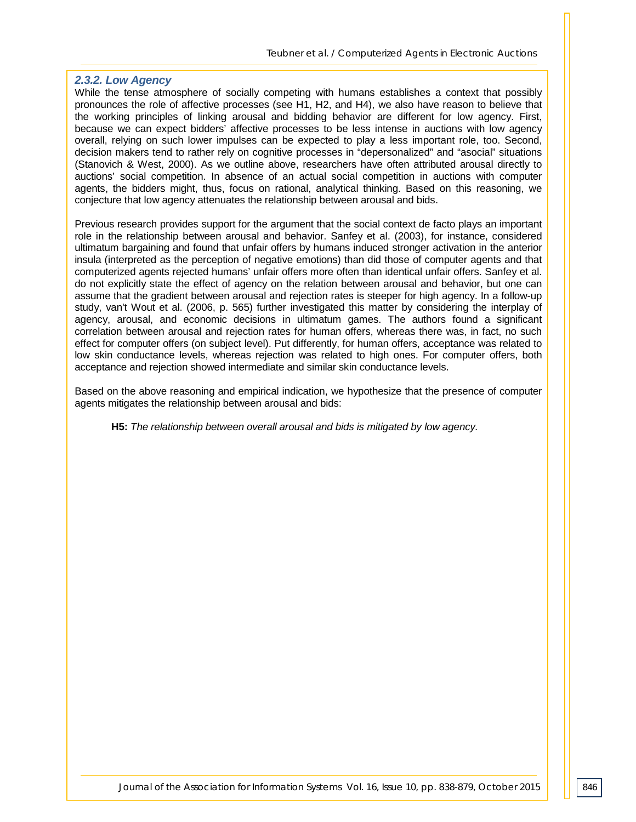#### *2.3.2. Low Agency*

While the tense atmosphere of socially competing with humans establishes a context that possibly pronounces the role of affective processes (see H1, H2, and H4), we also have reason to believe that the working principles of linking arousal and bidding behavior are different for low agency. First, because we can expect bidders' affective processes to be less intense in auctions with low agency overall, relying on such lower impulses can be expected to play a less important role, too. Second, decision makers tend to rather rely on cognitive processes in "depersonalized" and "asocial" situations (Stanovich & West, 2000). As we outline above, researchers have often attributed arousal directly to auctions' social competition. In absence of an actual social competition in auctions with computer agents, the bidders might, thus, focus on rational, analytical thinking. Based on this reasoning, we conjecture that low agency attenuates the relationship between arousal and bids.

Previous research provides support for the argument that the social context de facto plays an important role in the relationship between arousal and behavior. Sanfey et al. (2003), for instance, considered ultimatum bargaining and found that unfair offers by humans induced stronger activation in the anterior insula (interpreted as the perception of negative emotions) than did those of computer agents and that computerized agents rejected humans' unfair offers more often than identical unfair offers. Sanfey et al. do not explicitly state the effect of agency on the relation between arousal and behavior, but one can assume that the gradient between arousal and rejection rates is steeper for high agency. In a follow-up study, van't Wout et al. (2006, p. 565) further investigated this matter by considering the interplay of agency, arousal, and economic decisions in ultimatum games. The authors found a significant correlation between arousal and rejection rates for human offers, whereas there was, in fact, no such effect for computer offers (on subject level). Put differently, for human offers, acceptance was related to low skin conductance levels, whereas rejection was related to high ones. For computer offers, both acceptance and rejection showed intermediate and similar skin conductance levels.

Based on the above reasoning and empirical indication, we hypothesize that the presence of computer agents mitigates the relationship between arousal and bids:

**H5:** *The relationship between overall arousal and bids is mitigated by low agency.*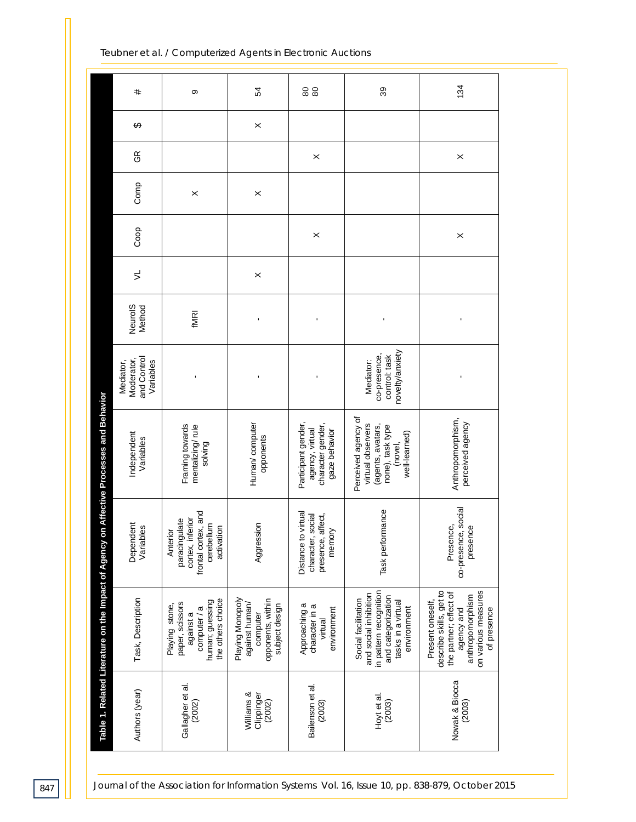134 39 54 #80 80 თ \$  $\times$ GR  $\times$  $\times$ g  $\times$  $\times$ Co Coop  $\times$  $\times$  $\leq$  $\times$ Neurol<sub>S</sub> NeuroIS fMRI ---novelty/anxiety novelty/anxiety and Control co-presence, control: task co-presence, Moderator, and Control control: task Mediator, Moderator Variables Mediator: Mediator, Variables Mediator: ---Table 1. Related Literature on the Impact of Agency on Affective Processes and Behavior **Table 1. Related Literature on the Impact of Agency on Affective Processes and Behavior** Perceived agency of Perceived agency of Participant gender, Anthropomorphism, Anthropomorphism, Human/computer Human/ computer perceived agency perceived agency Framing towards mentalizing/rule Participant gender character gender,<br>gaze behavior character gender, virtual observers (agents, avatars, none), task type Framing towards virtual observers (agents, avatars, mentalizing/ rule agency, virtual none), task type agency, virtual Independent gaze behavior well-learned) Independent well-learned) opponents Variables opponents Variables solving (novel, co-presence, social co-presence, social frontal cortex, and Task performance Task performance frontal cortex, and Distance to virtual Distance to virtual character, social<br>presence, affect, character, social presence, affect, cortex, inferior paracingulate cortex, inferior paracingulate Dependent Dependent cerebellum Aggression Aggression Presence, Variables cerebellum activation presence Variables presence activation memory **Anterior** in pattern recognition describe skills, get to in pattern recognition describe skills, get to the partner; effect of on various measures and social inhibition on various measures and social inhibition and categorization the partner; effect of anthropomorphism and categorization anthropomorphism Task, Description human; guessing Playing Monopoly computer<br>opponents, within opponents, within Social facilitation Task, Description human; guessing the others choice Playing Monopoly tasks in a virtual the others choice Social facilitation tasks in a virtual Present oneself, against human/ Approaching a Present oneself Playing stone, paper, scissors paper, scissors against human/ Playing stone, subject design subject design Approaching a character in a computer / a character in a of presence environment environment agency and computer / a environment environment of presence against a agency and virtual Nowak & Biocca Bailenson et al. Nowak & Biocca Gallagher et al. Gallagher et al. Bailenson et al. Authors (year) Williams & Authors (year) Williams & Clippinger (2002) Hoyt et al. (2003) (2003) (2002) (2003)

*Teubner et al. / Computerized Agents in Electronic Auctions*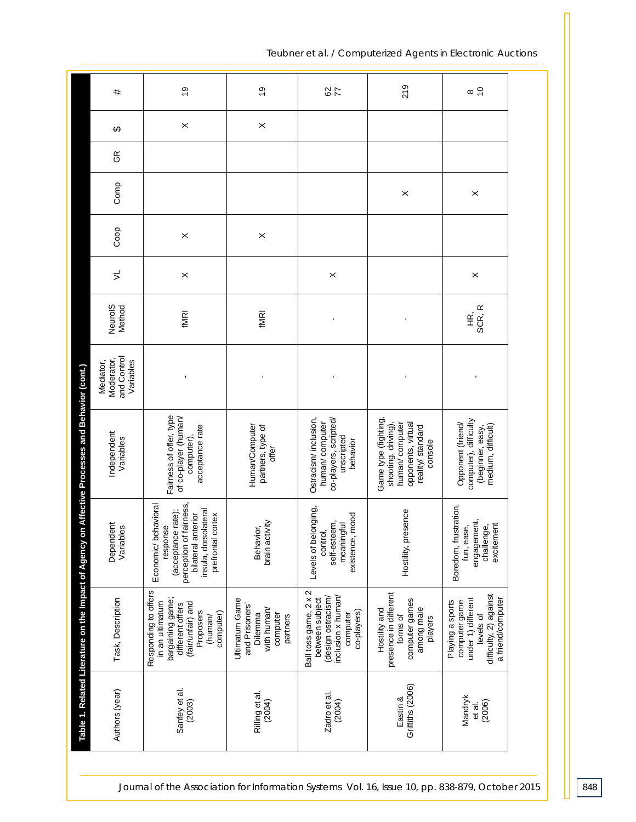| #                                                   | $\frac{6}{2}$                                                                                                                                           | $\frac{0}{2}$                                                                      | $rac{2}{7}$                                                                                                     | 219                                                                                                               | $\frac{1}{\infty}$                                                                                                  |
|-----------------------------------------------------|---------------------------------------------------------------------------------------------------------------------------------------------------------|------------------------------------------------------------------------------------|-----------------------------------------------------------------------------------------------------------------|-------------------------------------------------------------------------------------------------------------------|---------------------------------------------------------------------------------------------------------------------|
| ↮                                                   | ×                                                                                                                                                       | $\times$                                                                           |                                                                                                                 |                                                                                                                   |                                                                                                                     |
| $\Im$                                               |                                                                                                                                                         |                                                                                    |                                                                                                                 |                                                                                                                   |                                                                                                                     |
| Comp                                                |                                                                                                                                                         |                                                                                    |                                                                                                                 | $\times$                                                                                                          | $\times$                                                                                                            |
| Coop                                                | $\boldsymbol{\times}$                                                                                                                                   | $\times$                                                                           |                                                                                                                 |                                                                                                                   |                                                                                                                     |
| $\leq$                                              | $\times$                                                                                                                                                |                                                                                    | $\times$                                                                                                        |                                                                                                                   | $\times$                                                                                                            |
| Neurol <sub>S</sub><br>Method                       | <b>fMRI</b>                                                                                                                                             | <b>fMRI</b>                                                                        | ı                                                                                                               | $\blacksquare$                                                                                                    | SCR, R<br>$\tilde{\mathbf{f}}$                                                                                      |
| and Control<br>Moderator,<br>Mediator,<br>Variables | ı                                                                                                                                                       | J.                                                                                 |                                                                                                                 |                                                                                                                   |                                                                                                                     |
| Independent<br>Variables                            | Fairness of offer, type<br>of co-player (human/<br>acceptance rate<br>computer),                                                                        | Human/Computer<br>partners, type of<br>offer                                       | Ostracism/inclusion,<br>co-players, scripted/<br>human/computer<br>unscripted<br>behavior                       | Game type (fighting<br>shooting, driving),<br>human/computer<br>opponents, virtual<br>reality/standard<br>console | computer), difficulty<br>Opponent (friend/<br>medium, difficult)<br>(beginner, easy,                                |
| Dependent<br>Variables                              | perception of fairness,<br>Economic/ behavioral<br>insula, dorsolateral<br>(acceptance rate);<br>bilateral anterior<br>cortex<br>response<br>prefrontal | brain activity<br>Behavior,                                                        | Levels of belonging,<br>existence, mood<br>self-esteem,<br>meaningful<br>control,                               | esence<br>Hostility, pr                                                                                           | Boredom, frustration,<br>engagement,<br>excitement<br>fun, ease,<br>challenge,                                      |
| Task, Description                                   | Responding to offers<br>bargaining game;<br>in an ultimatum<br>(fair/unfair) and<br>different offers<br>Proposers<br>computer)<br>(human/               | Ultimatum Game<br>and Prisoners'<br>with human/<br>computer<br>Dilemma<br>partners | Ball toss game, 2 x 2<br>inclusion x human/<br>(design ostracism/<br>between subject<br>co-players)<br>computer | presence in different<br>computer games<br>among male<br>Hostility and<br>forms of<br>players                     | difficulty, 2) against<br>under 1) different<br>a friend/computer<br>Playing a sports<br>computer game<br>levels of |
| Authors (year)                                      | Sanfey et al.<br>(2003)                                                                                                                                 | Rilling et al.<br>(2004)                                                           | Zadro et al.<br>(2004)                                                                                          | Griffiths (2006)<br>Eastin &                                                                                      | Mandryk<br>(2006)<br>et al.                                                                                         |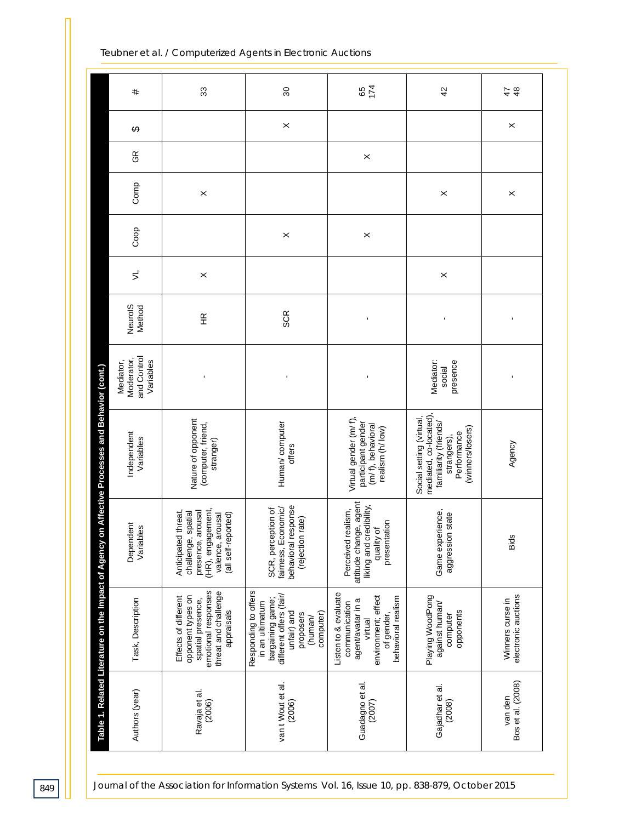| #                                                   | 33                                                                                                                             | $\mathcal{S}^{\circ}$                                                                                                                      | 174<br>65                                                                                                                        | 42                                                                                                                            | $\frac{8}{3}$<br>47                     |
|-----------------------------------------------------|--------------------------------------------------------------------------------------------------------------------------------|--------------------------------------------------------------------------------------------------------------------------------------------|----------------------------------------------------------------------------------------------------------------------------------|-------------------------------------------------------------------------------------------------------------------------------|-----------------------------------------|
| ↔                                                   |                                                                                                                                | $\times$                                                                                                                                   |                                                                                                                                  |                                                                                                                               | $\times$                                |
| $\Im$                                               |                                                                                                                                |                                                                                                                                            | $\times$                                                                                                                         |                                                                                                                               |                                         |
| Comp                                                | $\times$                                                                                                                       |                                                                                                                                            |                                                                                                                                  | $\boldsymbol{\times}$                                                                                                         | $\times$                                |
| Coop                                                |                                                                                                                                | $\times$                                                                                                                                   | $\times$                                                                                                                         |                                                                                                                               |                                         |
| $\preceq$                                           | $\times$                                                                                                                       |                                                                                                                                            |                                                                                                                                  | $\times$                                                                                                                      |                                         |
| Neurol <sub>S</sub><br>Method                       | $\frac{\alpha}{\pm}$                                                                                                           | SCR                                                                                                                                        | $\blacksquare$                                                                                                                   | ı                                                                                                                             | ı                                       |
| and Control<br>Moderator,<br>Variables<br>Mediator, | ı                                                                                                                              | $\blacksquare$                                                                                                                             | ı                                                                                                                                | presence<br>Mediator:<br>social                                                                                               | 1                                       |
| Independent<br>Variables                            | Nature of opponent<br>(computer, friend,<br>stranger)                                                                          | Human/computer<br>offers                                                                                                                   | Virtual gender (m/f),<br>participant gender<br>(m/f), behavioral<br>realism (h/ low)                                             | mediated, co-located),<br>Social setting (virtual,<br>familiarity (friends/<br>(winners/losers)<br>Performance<br>strangers), | Agency                                  |
| Dependent<br>Variables                              | (HR), engagement,<br>presence, arousal<br>Anticipated threat,<br>challenge, spatial<br>(all self-reported)<br>valence, arousal | behavioral response<br>fairness, Economic/<br>SCR, perception of<br>(rejection rate)                                                       | attitude change, agent<br>liking and credibility,<br>Perceived realism,<br>presentation<br>quality of                            | Game experience,<br>state<br>aggression                                                                                       | Bids                                    |
| Task, Description                                   | emotional responses<br>threat and challenge<br>opponent types on<br>Effects of different<br>spatial presence,<br>appraisals    | Responding to offers<br>different offers (fair/<br>bargaining game;<br>in an ultimatum<br>computer)<br>unfair) and<br>proposers<br>(human/ | Listen to & evaluate<br>environment; effect<br>of gender,<br>behavioral realism<br>agent/avatar in a<br>communication<br>virtual | Playing WoodPong<br>against human/<br>opponents<br>computer                                                                   | electronic auctions<br>Winners curse in |
| Authors (year)                                      | Ravaja et al.<br>(2006)                                                                                                        | van t Wout et al.<br>(2006)                                                                                                                | Guadagno et al.<br>(2007)                                                                                                        | Gajadhar et al.<br>(2008)                                                                                                     | Bos et al. (2008)<br>van den            |

*849 Journal of the Association for Information Systems Vol. 16, Issue 10, pp. 838-879, October 2015*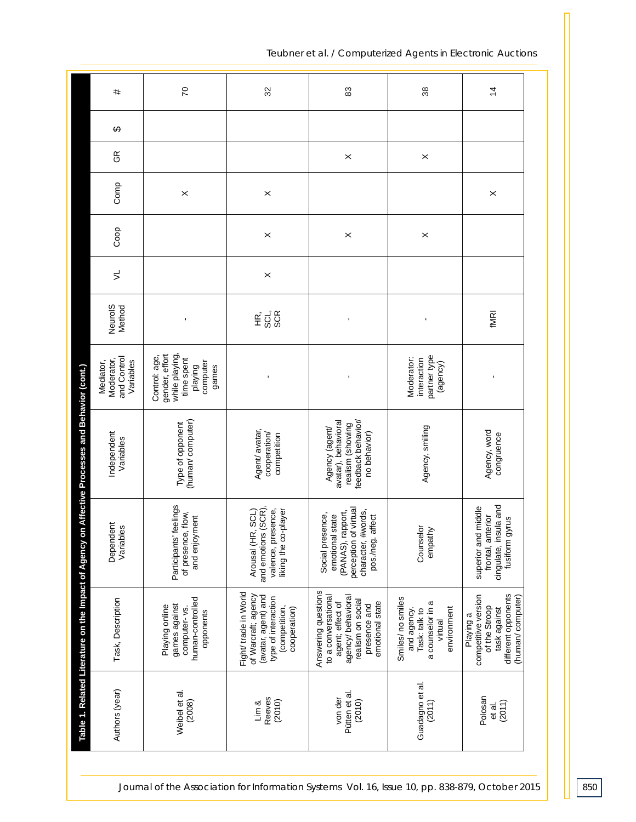| #                                                   | 20                                                                                              | 32                                                                                                                          | 83                                                                                                                                           | 38                                                                                             | $\overline{4}$                                                                                               |
|-----------------------------------------------------|-------------------------------------------------------------------------------------------------|-----------------------------------------------------------------------------------------------------------------------------|----------------------------------------------------------------------------------------------------------------------------------------------|------------------------------------------------------------------------------------------------|--------------------------------------------------------------------------------------------------------------|
| ↮                                                   |                                                                                                 |                                                                                                                             |                                                                                                                                              |                                                                                                |                                                                                                              |
| $\Im$                                               |                                                                                                 |                                                                                                                             | ×                                                                                                                                            | $\times$                                                                                       |                                                                                                              |
| Comp                                                | $\times$                                                                                        | $\times$                                                                                                                    |                                                                                                                                              |                                                                                                | $\times$                                                                                                     |
| Coop                                                |                                                                                                 | $\boldsymbol{\times}$                                                                                                       | $\times$                                                                                                                                     | $\boldsymbol{\times}$                                                                          |                                                                                                              |
| $\leq$                                              |                                                                                                 | $\times$                                                                                                                    |                                                                                                                                              |                                                                                                |                                                                                                              |
| NeurolS<br>Method                                   | $\blacksquare$                                                                                  | SCL,<br>SCR<br>$\tilde{\mathbb{E}}$                                                                                         | ı                                                                                                                                            |                                                                                                | fMRI                                                                                                         |
| and Control<br>Moderator,<br>Mediator,<br>Variables | while playing,<br>gender, effort<br>Control: age,<br>time spent<br>computer<br>playing<br>games | $\blacksquare$                                                                                                              | ı                                                                                                                                            | partner type<br>Moderator:<br>interaction<br>(agency)                                          |                                                                                                              |
| Independent<br>Variables                            | (human/computer)<br>Type of opponent                                                            | Agent/ avatar,<br>cooperation/<br>competition                                                                               | avatar), behavioral<br>feedback behavior/<br>realism (showing<br>Agency (agent/<br>no behavior)                                              | Agency, smiling                                                                                | Agency, word<br>congruence                                                                                   |
| Dependent<br>Variables                              | Participants' feelings<br>of presence, flow,<br>and enjoyment                                   | and emotions (SCR),<br>valence, presence,<br>Arousal (HR, SCL)<br>liking the co-player                                      | of virtual<br>#words,<br>rapport,<br>Social presence,<br>emotional state<br>affect<br>pos./neg.<br>perception<br>(PANAS),<br>character,      | Counselor<br>empathy                                                                           | frontal, anterior<br>cingulate, insula and<br>superior and middle<br>fusiform gyrus                          |
| Task, Description                                   | human-controlled<br>games against<br>Playing online<br>computer-vs.<br>opponents                | Fight/ trade in World<br>of Warcraft; agency<br>(avatar, agent) and<br>type of interaction<br>(competition,<br>cooperation) | Answering questions<br>to a conversational<br>agency/ behavioral<br>realism on social<br>emotional state<br>agent; effect of<br>presence and | Smiles/no smiles<br>a counselor in a<br>environment<br>and agency.<br>Task: talk to<br>virtual | different opponents<br>competitive version<br>(human/computer)<br>of the Stroop<br>task against<br>Playing a |
| Authors (year)                                      | Weibel et al.<br>(2008)                                                                         | Reeves<br>(2010)<br>Lim &                                                                                                   | Pütten et al.<br>von der<br>(2010)                                                                                                           | Guadagno et al.<br>(2011)                                                                      | Polosan<br>(2011)<br>et al.                                                                                  |

*Journal of the Association for Information Systems Vol. 16, <i>Issue 10, pp. 838-879, October 2015* **850**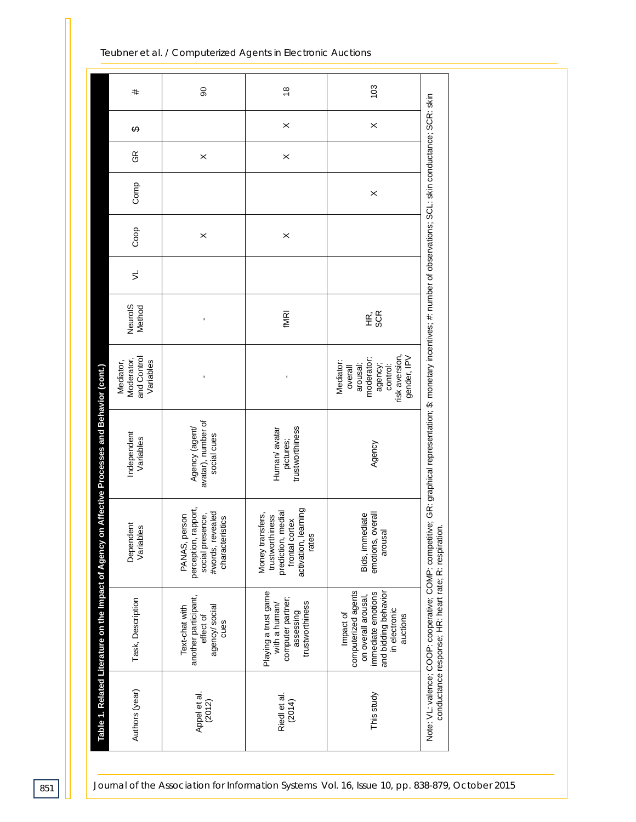|                                                                                                 | #                                                   | 8                                                                                                | $\frac{8}{1}$                                                                                                | 103                                                                                                                                |                                                                                                                                                                             |  |
|-------------------------------------------------------------------------------------------------|-----------------------------------------------------|--------------------------------------------------------------------------------------------------|--------------------------------------------------------------------------------------------------------------|------------------------------------------------------------------------------------------------------------------------------------|-----------------------------------------------------------------------------------------------------------------------------------------------------------------------------|--|
|                                                                                                 | ↮                                                   |                                                                                                  | $\times$                                                                                                     | $\pmb{\times}$                                                                                                                     |                                                                                                                                                                             |  |
|                                                                                                 | GR                                                  | $\times$                                                                                         | $\times$                                                                                                     |                                                                                                                                    |                                                                                                                                                                             |  |
|                                                                                                 | Comp                                                |                                                                                                  |                                                                                                              | $\times$                                                                                                                           |                                                                                                                                                                             |  |
|                                                                                                 | Coop                                                | $\times$                                                                                         | $\times$                                                                                                     |                                                                                                                                    |                                                                                                                                                                             |  |
|                                                                                                 | $\preceq$                                           |                                                                                                  |                                                                                                              |                                                                                                                                    |                                                                                                                                                                             |  |
|                                                                                                 | Neurol <sub>S</sub><br>Method                       | ı                                                                                                | <b>fMRI</b>                                                                                                  | HE,<br>SCR                                                                                                                         |                                                                                                                                                                             |  |
|                                                                                                 | and Control<br>Moderator,<br>Variables<br>Mediator, | ı                                                                                                | ı                                                                                                            | risk aversion,<br>gender, IPV<br>moderator:<br>Mediator:<br>arousal;<br>agency;<br>control:<br>overall                             |                                                                                                                                                                             |  |
| Table 1. Related Literature on the Impact of Agency on Affective Processes and Behavior (cont.) | Independent<br>Variables                            | avatar), number of<br>Agency (agent/<br>social cues                                              | trustworthiness<br>Human/avatar<br>pictures;                                                                 | Agency                                                                                                                             |                                                                                                                                                                             |  |
|                                                                                                 | Dependent<br>Variables                              | perception, rapport,<br>#words, revealed<br>social presence,<br>PANAS, person<br>characteristics | activation, learning<br>prediction, medial<br>Money transfers,<br>trustworthiness<br>frontal cortex<br>rates | emotions, overall<br>Bids, immediate<br>arousal                                                                                    | Note: VL: valence; COOP: cooperative; COMP: competitive; GR: graphical representation; \$: monetary incentives; #: number of observations; SCL: skin conductance; SCR: skin |  |
|                                                                                                 | Task, Description                                   | another participant,<br>Text-chat with<br>agency/social<br>effect of<br>cues                     | Playing a trust game<br>computer partner;<br>trustworthiness<br>with a human/<br>assessing                   | computerized agents<br>and bidding behavior<br>immediate emotions<br>on overall arousal,<br>in electronic<br>Impact of<br>auctions | conductance response; HR: heart rate; R: respiration.                                                                                                                       |  |
|                                                                                                 | Authors (year)                                      | Appel et al.<br>(2012)                                                                           | Riedl et al.<br>(2014)                                                                                       | This study                                                                                                                         |                                                                                                                                                                             |  |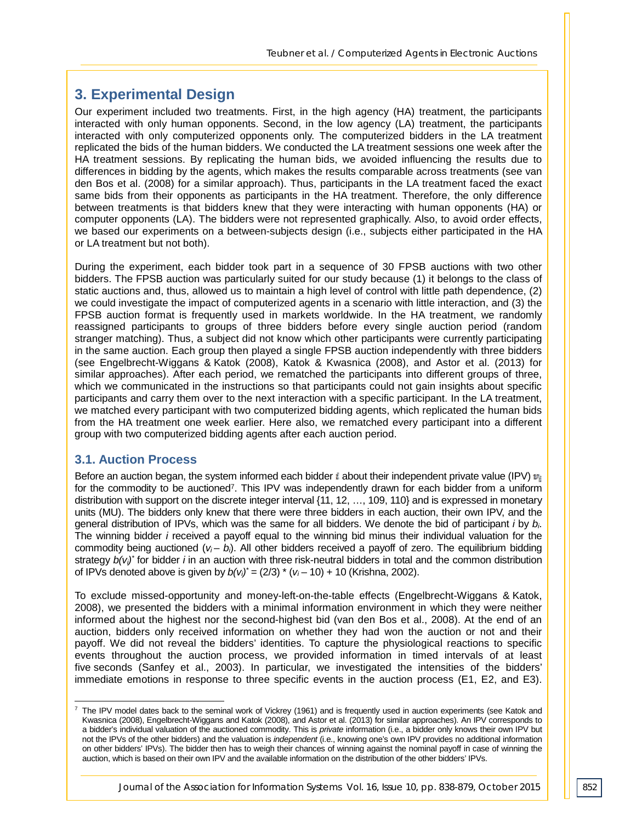# **3. Experimental Design**

Our experiment included two treatments. First, in the high agency (HA) treatment, the participants interacted with only human opponents. Second, in the low agency (LA) treatment, the participants interacted with only computerized opponents only. The computerized bidders in the LA treatment replicated the bids of the human bidders. We conducted the LA treatment sessions one week after the HA treatment sessions. By replicating the human bids, we avoided influencing the results due to differences in bidding by the agents, which makes the results comparable across treatments (see van den Bos et al. (2008) for a similar approach). Thus, participants in the LA treatment faced the exact same bids from their opponents as participants in the HA treatment. Therefore, the only difference between treatments is that bidders knew that they were interacting with human opponents (HA) or computer opponents (LA). The bidders were not represented graphically. Also, to avoid order effects, we based our experiments on a between-subjects design (i.e., subjects either participated in the HA or LA treatment but not both).

During the experiment, each bidder took part in a sequence of 30 FPSB auctions with two other bidders. The FPSB auction was particularly suited for our study because (1) it belongs to the class of static auctions and, thus, allowed us to maintain a high level of control with little path dependence, (2) we could investigate the impact of computerized agents in a scenario with little interaction, and (3) the FPSB auction format is frequently used in markets worldwide. In the HA treatment, we randomly reassigned participants to groups of three bidders before every single auction period (random stranger matching). Thus, a subject did not know which other participants were currently participating in the same auction. Each group then played a single FPSB auction independently with three bidders (see Engelbrecht-Wiggans & Katok (2008), Katok & Kwasnica (2008), and Astor et al. (2013) for similar approaches). After each period, we rematched the participants into different groups of three, which we communicated in the instructions so that participants could not gain insights about specific participants and carry them over to the next interaction with a specific participant. In the LA treatment, we matched every participant with two computerized bidding agents, which replicated the human bids from the HA treatment one week earlier. Here also, we rematched every participant into a different group with two computerized bidding agents after each auction period.

#### **3.1. Auction Process**

Before an auction began, the system informed each bidder  $\ell$  about their independent private value (IPV)  $v_{\ell}$ for the commodity to be auctioned<sup>7</sup>. This IPV was independently drawn for each bidder from a uniform distribution with support on the discrete integer interval {11, 12, …, 109, 110} and is expressed in monetary units (MU). The bidders only knew that there were three bidders in each auction, their own IPV, and the general distribution of IPVs, which was the same for all bidders. We denote the bid of participant *i* by *bi*. The winning bidder *i* received a payoff equal to the winning bid minus their individual valuation for the commodity being auctioned  $(v_i - b_i)$ . All other bidders received a payoff of zero. The equilibrium bidding strategy *b(vi)\** for bidder *i* in an auction with three risk-neutral bidders in total and the common distribution of IPVs denoted above is given by  $b(v_i)^* = (2/3) * (v_i - 10) + 10$  (Krishna, 2002).

To exclude missed-opportunity and money-left-on-the-table effects (Engelbrecht-Wiggans & Katok, 2008), we presented the bidders with a minimal information environment in which they were neither informed about the highest nor the second-highest bid (van den Bos et al., 2008). At the end of an auction, bidders only received information on whether they had won the auction or not and their payoff. We did not reveal the bidders' identities. To capture the physiological reactions to specific events throughout the auction process, we provided information in timed intervals of at least five seconds (Sanfey et al., 2003). In particular, we investigated the intensities of the bidders' immediate emotions in response to three specific events in the auction process (E1, E2, and E3).

 $7$  The IPV model dates back to the seminal work of Vickrey (1961) and is frequently used in auction experiments (see Katok and Kwasnica (2008), Engelbrecht-Wiggans and Katok (2008), and Astor et al. (2013) for similar approaches). An IPV corresponds to a bidder's individual valuation of the auctioned commodity. This is *private* information (i.e., a bidder only knows their own IPV but not the IPVs of the other bidders) and the valuation is *independent* (i.e., knowing one's own IPV provides no additional information on other bidders' IPVs). The bidder then has to weigh their chances of winning against the nominal payoff in case of winning the auction, which is based on their own IPV and the available information on the distribution of the other bidders' IPVs. -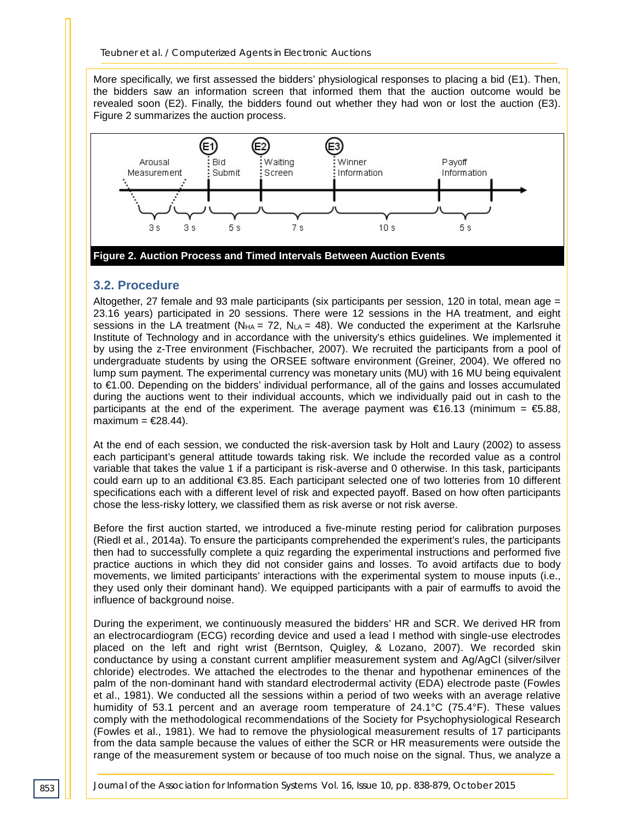More specifically, we first assessed the bidders' physiological responses to placing a bid (E1). Then, the bidders saw an information screen that informed them that the auction outcome would be revealed soon (E2). Finally, the bidders found out whether they had won or lost the auction (E3). Figure 2 summarizes the auction process.



#### **3.2. Procedure**

Altogether, 27 female and 93 male participants (six participants per session, 120 in total, mean age = 23.16 years) participated in 20 sessions. There were 12 sessions in the HA treatment, and eight sessions in the LA treatment ( $N_{HA}$  = 72,  $N_{LA}$  = 48). We conducted the experiment at the Karlsruhe Institute of Technology and in accordance with the university's ethics guidelines. We implemented it by using the z-Tree environment (Fischbacher, 2007). We recruited the participants from a pool of undergraduate students by using the ORSEE software environment (Greiner, 2004). We offered no lump sum payment. The experimental currency was monetary units (MU) with 16 MU being equivalent to €1.00. Depending on the bidders' individual performance, all of the gains and losses accumulated during the auctions went to their individual accounts, which we individually paid out in cash to the participants at the end of the experiment. The average payment was  $\epsilon$ 16.13 (minimum =  $\epsilon$ 5.88, maximum =  $\epsilon$ 28.44).

At the end of each session, we conducted the risk-aversion task by Holt and Laury (2002) to assess each participant's general attitude towards taking risk. We include the recorded value as a control variable that takes the value 1 if a participant is risk-averse and 0 otherwise. In this task, participants could earn up to an additional €3.85. Each participant selected one of two lotteries from 10 different specifications each with a different level of risk and expected payoff. Based on how often participants chose the less-risky lottery, we classified them as risk averse or not risk averse.

Before the first auction started, we introduced a five-minute resting period for calibration purposes (Riedl et al., 2014a). To ensure the participants comprehended the experiment's rules, the participants then had to successfully complete a quiz regarding the experimental instructions and performed five practice auctions in which they did not consider gains and losses. To avoid artifacts due to body movements, we limited participants' interactions with the experimental system to mouse inputs (i.e., they used only their dominant hand). We equipped participants with a pair of earmuffs to avoid the influence of background noise.

During the experiment, we continuously measured the bidders' HR and SCR. We derived HR from an electrocardiogram (ECG) recording device and used a lead I method with single-use electrodes placed on the left and right wrist (Berntson, Quigley, & Lozano, 2007). We recorded skin conductance by using a constant current amplifier measurement system and Ag/AgCl (silver/silver chloride) electrodes. We attached the electrodes to the thenar and hypothenar eminences of the palm of the non-dominant hand with standard electrodermal activity (EDA) electrode paste (Fowles et al., 1981). We conducted all the sessions within a period of two weeks with an average relative humidity of 53.1 percent and an average room temperature of 24.1°C (75.4°F). These values comply with the methodological recommendations of the Society for Psychophysiological Research (Fowles et al., 1981). We had to remove the physiological measurement results of 17 participants from the data sample because the values of either the SCR or HR measurements were outside the range of the measurement system or because of too much noise on the signal. Thus, we analyze a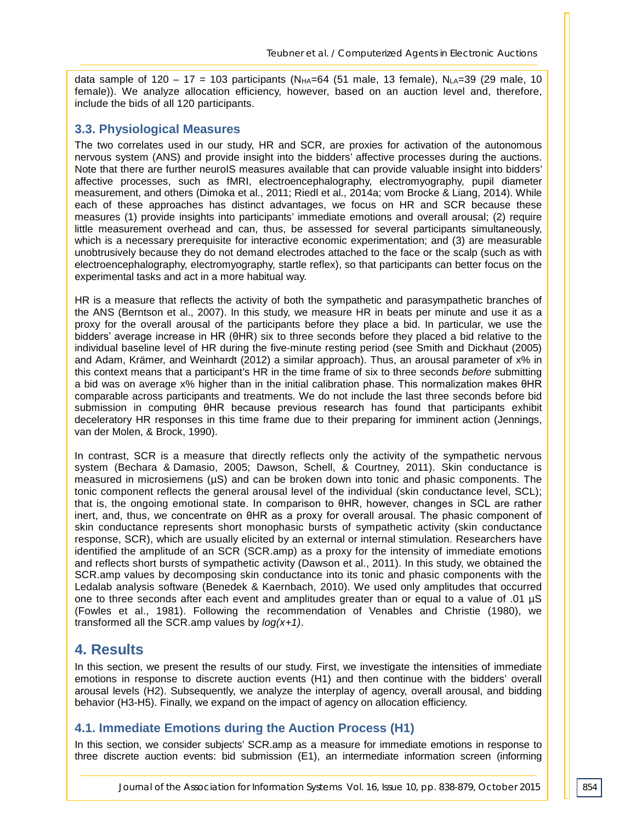data sample of  $120 - 17 = 103$  participants (N<sub>HA</sub>=64 (51 male, 13 female), N<sub>LA</sub>=39 (29 male, 10 female)). We analyze allocation efficiency, however, based on an auction level and, therefore, include the bids of all 120 participants.

## **3.3. Physiological Measures**

The two correlates used in our study, HR and SCR, are proxies for activation of the autonomous nervous system (ANS) and provide insight into the bidders' affective processes during the auctions. Note that there are further neuroIS measures available that can provide valuable insight into bidders' affective processes, such as fMRI, electroencephalography, electromyography, pupil diameter measurement, and others (Dimoka et al., 2011; Riedl et al., 2014a; vom Brocke & Liang, 2014). While each of these approaches has distinct advantages, we focus on HR and SCR because these measures (1) provide insights into participants' immediate emotions and overall arousal; (2) require little measurement overhead and can, thus, be assessed for several participants simultaneously, which is a necessary prerequisite for interactive economic experimentation; and (3) are measurable unobtrusively because they do not demand electrodes attached to the face or the scalp (such as with electroencephalography, electromyography, startle reflex), so that participants can better focus on the experimental tasks and act in a more habitual way.

HR is a measure that reflects the activity of both the sympathetic and parasympathetic branches of the ANS (Berntson et al., 2007). In this study, we measure HR in beats per minute and use it as a proxy for the overall arousal of the participants before they place a bid. In particular, we use the bidders' average increase in HR (θHR) six to three seconds before they placed a bid relative to the individual baseline level of HR during the five-minute resting period (see Smith and Dickhaut (2005) and Adam, Krämer, and Weinhardt (2012) a similar approach). Thus, an arousal parameter of x% in this context means that a participant's HR in the time frame of six to three seconds *before* submitting a bid was on average x% higher than in the initial calibration phase. This normalization makes θHR comparable across participants and treatments. We do not include the last three seconds before bid submission in computing θHR because previous research has found that participants exhibit deceleratory HR responses in this time frame due to their preparing for imminent action (Jennings, van der Molen, & Brock, 1990).

In contrast, SCR is a measure that directly reflects only the activity of the sympathetic nervous system (Bechara & Damasio, 2005; Dawson, Schell, & Courtney, 2011). Skin conductance is measured in microsiemens (µS) and can be broken down into tonic and phasic components. The tonic component reflects the general arousal level of the individual (skin conductance level, SCL); that is, the ongoing emotional state. In comparison to θHR, however, changes in SCL are rather inert, and, thus, we concentrate on θHR as a proxy for overall arousal. The phasic component of skin conductance represents short monophasic bursts of sympathetic activity (skin conductance response, SCR), which are usually elicited by an external or internal stimulation. Researchers have identified the amplitude of an SCR (SCR.amp) as a proxy for the intensity of immediate emotions and reflects short bursts of sympathetic activity (Dawson et al., 2011). In this study, we obtained the SCR.amp values by decomposing skin conductance into its tonic and phasic components with the Ledalab analysis software (Benedek & Kaernbach, 2010). We used only amplitudes that occurred one to three seconds after each event and amplitudes greater than or equal to a value of .01 µS (Fowles et al., 1981). Following the recommendation of Venables and Christie (1980), we transformed all the SCR.amp values by *log(x+1)*.

# **4. Results**

In this section, we present the results of our study. First, we investigate the intensities of immediate emotions in response to discrete auction events (H1) and then continue with the bidders' overall arousal levels (H2). Subsequently, we analyze the interplay of agency, overall arousal, and bidding behavior (H3-H5). Finally, we expand on the impact of agency on allocation efficiency.

# **4.1. Immediate Emotions during the Auction Process (H1)**

In this section, we consider subjects' SCR.amp as a measure for immediate emotions in response to three discrete auction events: bid submission (E1), an intermediate information screen (informing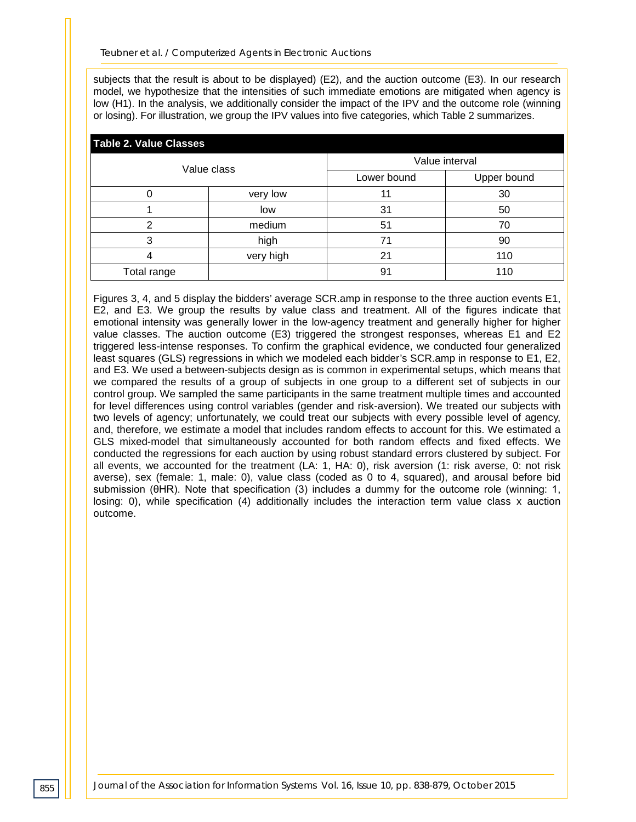subjects that the result is about to be displayed) (E2), and the auction outcome (E3). In our research model, we hypothesize that the intensities of such immediate emotions are mitigated when agency is low (H1). In the analysis, we additionally consider the impact of the IPV and the outcome role (winning or losing). For illustration, we group the IPV values into five categories, which Table 2 summarizes.

| <b>Table 2. Value Classes</b> |             |                |                |  |  |  |  |  |
|-------------------------------|-------------|----------------|----------------|--|--|--|--|--|
|                               | Value class |                | Value interval |  |  |  |  |  |
|                               |             | Lower bound    | Upper bound    |  |  |  |  |  |
|                               | very low    |                | 30             |  |  |  |  |  |
|                               | low         | 31             | 50             |  |  |  |  |  |
| ⌒                             | medium      | 51             | 70             |  |  |  |  |  |
| з                             | high        | 71             | 90             |  |  |  |  |  |
|                               | very high   | 2 <sub>1</sub> | 110            |  |  |  |  |  |
| Total range                   |             | 91             | 110            |  |  |  |  |  |

Figures 3, 4, and 5 display the bidders' average SCR.amp in response to the three auction events E1, E2, and E3. We group the results by value class and treatment. All of the figures indicate that emotional intensity was generally lower in the low-agency treatment and generally higher for higher value classes. The auction outcome (E3) triggered the strongest responses, whereas E1 and E2 triggered less-intense responses. To confirm the graphical evidence, we conducted four generalized least squares (GLS) regressions in which we modeled each bidder's SCR.amp in response to E1, E2, and E3. We used a between-subjects design as is common in experimental setups, which means that we compared the results of a group of subjects in one group to a different set of subjects in our control group. We sampled the same participants in the same treatment multiple times and accounted for level differences using control variables (gender and risk-aversion). We treated our subjects with two levels of agency; unfortunately, we could treat our subjects with every possible level of agency, and, therefore, we estimate a model that includes random effects to account for this. We estimated a GLS mixed-model that simultaneously accounted for both random effects and fixed effects. We conducted the regressions for each auction by using robust standard errors clustered by subject. For all events, we accounted for the treatment (LA: 1, HA: 0), risk aversion (1: risk averse, 0: not risk averse), sex (female: 1, male: 0), value class (coded as 0 to 4, squared), and arousal before bid submission (θHR). Note that specification (3) includes a dummy for the outcome role (winning: 1, losing: 0), while specification (4) additionally includes the interaction term value class x auction outcome.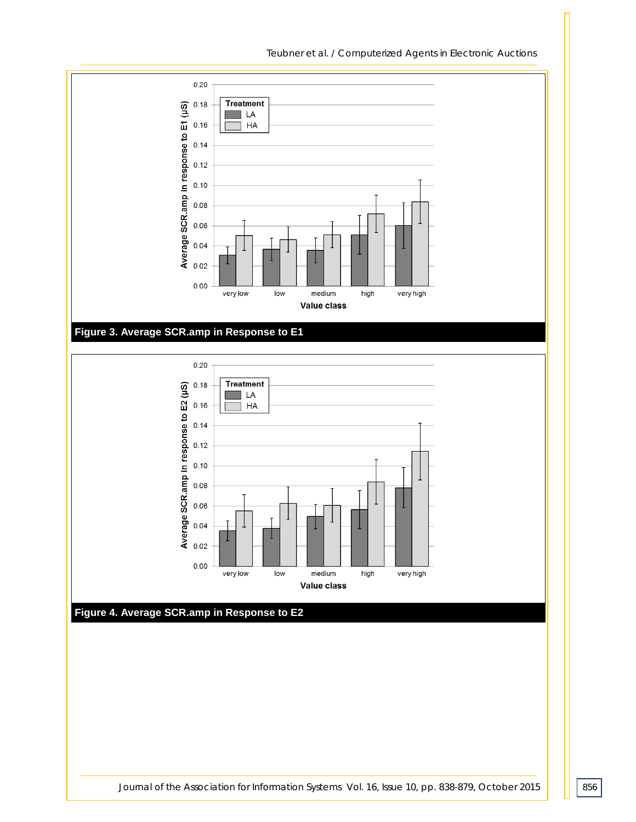





*Journal of the Association for Information Systems Vol. 16, <i>Issue 10, pp. 838-879, October 2015* | 856

## *Teubner et al. / Computerized Agents in Electronic Auctions*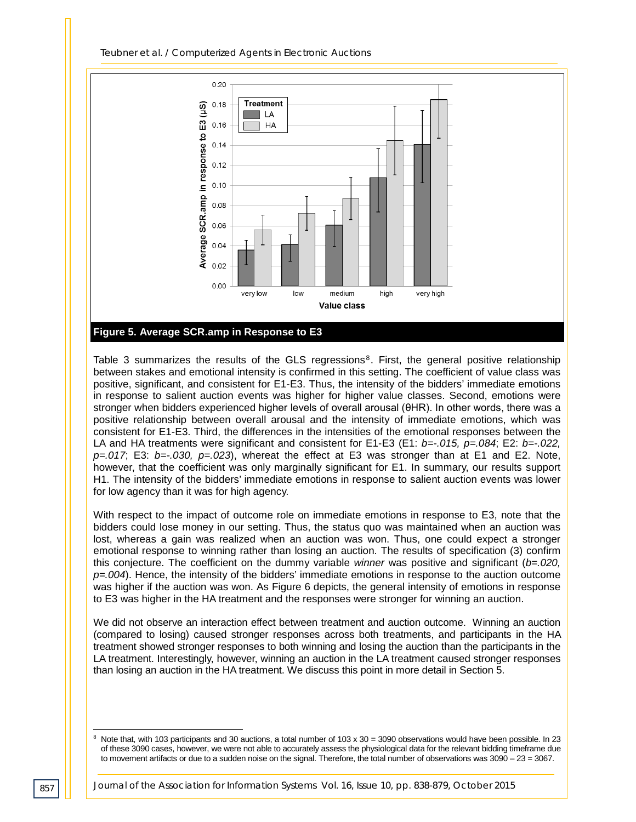

Table 3 summarizes the results of the GLS regressions $8$ . First, the general positive relationship between stakes and emotional intensity is confirmed in this setting. The coefficient of value class was positive, significant, and consistent for E1-E3. Thus, the intensity of the bidders' immediate emotions in response to salient auction events was higher for higher value classes. Second, emotions were stronger when bidders experienced higher levels of overall arousal (θHR). In other words, there was a positive relationship between overall arousal and the intensity of immediate emotions, which was consistent for E1-E3. Third, the differences in the intensities of the emotional responses between the LA and HA treatments were significant and consistent for E1-E3 (E1: *b=-.015, p=.084*; E2: *b=-.022, p=.017*; E3: *b=-.030, p=.023*), whereat the effect at E3 was stronger than at E1 and E2. Note, however, that the coefficient was only marginally significant for E1. In summary, our results support H1. The intensity of the bidders' immediate emotions in response to salient auction events was lower for low agency than it was for high agency.

With respect to the impact of outcome role on immediate emotions in response to E3, note that the bidders could lose money in our setting. Thus, the status quo was maintained when an auction was lost, whereas a gain was realized when an auction was won. Thus, one could expect a stronger emotional response to winning rather than losing an auction. The results of specification (3) confirm this conjecture. The coefficient on the dummy variable *winner* was positive and significant (*b=.020, p=.004*). Hence, the intensity of the bidders' immediate emotions in response to the auction outcome was higher if the auction was won. As Figure 6 depicts, the general intensity of emotions in response to E3 was higher in the HA treatment and the responses were stronger for winning an auction.

We did not observe an interaction effect between treatment and auction outcome. Winning an auction (compared to losing) caused stronger responses across both treatments, and participants in the HA treatment showed stronger responses to both winning and losing the auction than the participants in the LA treatment. Interestingly, however, winning an auction in the LA treatment caused stronger responses than losing an auction in the HA treatment. We discuss this point in more detail in Section 5.

 $8$  Note that, with 103 participants and 30 auctions, a total number of 103 x 30 = 3090 observations would have been possible. In 23 of these 3090 cases, however, we were not able to accurately assess the physiological data for the relevant bidding timeframe due to movement artifacts or due to a sudden noise on the signal. Therefore, the total number of observations was 3090 – 23 = 3067. j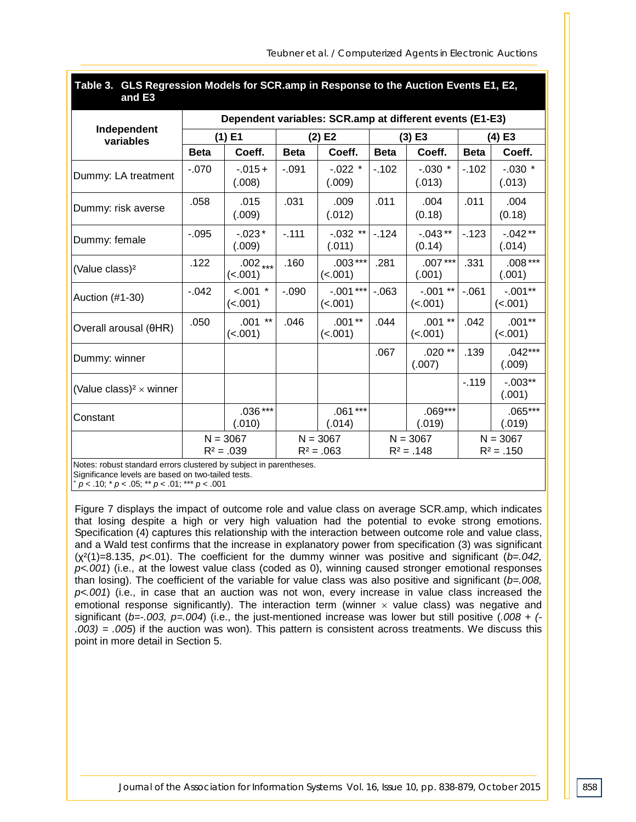| Table 3. GLS Regression Models for SCR.amp in Response to the Auction Events E1, E2,<br>and E3 |             |                                                          |             |                            |             |                            |                            |                       |  |  |
|------------------------------------------------------------------------------------------------|-------------|----------------------------------------------------------|-------------|----------------------------|-------------|----------------------------|----------------------------|-----------------------|--|--|
|                                                                                                |             | Dependent variables: SCR.amp at different events (E1-E3) |             |                            |             |                            |                            |                       |  |  |
| Independent<br>variables                                                                       |             | $(1)$ E1                                                 |             | (2) E2                     |             | $(3)$ E3                   | $(4)$ E3                   |                       |  |  |
|                                                                                                | <b>Beta</b> | Coeff.                                                   | <b>Beta</b> | Coeff.                     | <b>Beta</b> | Coeff.                     | <b>Beta</b>                | Coeff.                |  |  |
| Dummy: LA treatment                                                                            | $-070$      | $-015+$<br>(.008)                                        | $-0.91$     | $-022$ *<br>(.009)         | $-.102$     | $-0.030$ *<br>(.013)       | $-.102$                    | $-.030$ *<br>(.013)   |  |  |
| Dummy: risk averse                                                                             | .058        | .015<br>(.009)                                           | .031        | .009<br>(.012)             | .011        | .004<br>(0.18)             | .011                       | .004<br>(0.18)        |  |  |
| Dummy: female                                                                                  | $-0.095$    | $-023*$<br>(.009)                                        | $-.111$     | $-.032$ **<br>(.011)       | $-124$      | $-.043**$<br>(0.14)        | $-123$                     | $-.042**$<br>(.014)   |  |  |
| (Value class) <sup>2</sup>                                                                     | .122        | $.002$ ***<br>(< .001)                                   | .160        | $.003***$<br>(< .001)      | .281        | $.007***$<br>(.001)        | .331                       | $.008***$<br>(.001)   |  |  |
| Auction (#1-30)                                                                                | $-0.042$    | $< .001$ *<br>(< .001)                                   | $-0.090$    | $-.001***$<br>(< .001)     | $-063$      | $-.001**$<br>(< .001)      | $-061$                     | $-.001**$<br>(< .001) |  |  |
| Overall arousal (θHR)                                                                          | .050        | $.001$ **<br>(< .001)                                    | .046        | $.001**$<br>(< .001)       | .044        | $.001**$<br>(< .001)       | .042                       | $.001**$<br>(< .001)  |  |  |
| Dummy: winner                                                                                  |             |                                                          |             |                            | .067        | .020 **<br>(.007)          | .139                       | $.042***$<br>(.009)   |  |  |
| (Value class) <sup>2</sup> $\times$ winner                                                     |             |                                                          |             |                            |             |                            | $-.119$                    | $-.003**$<br>(.001)   |  |  |
| Constant                                                                                       |             | $.036***$<br>(.010)                                      |             | $.061***$<br>(.014)        |             | $.069***$<br>(.019)        |                            | $.065***$<br>(.019)   |  |  |
|                                                                                                |             | $N = 3067$<br>$R^2 = .039$                               |             | $N = 3067$<br>$R^2 = .063$ |             | $N = 3067$<br>$R^2 = .148$ | $N = 3067$<br>$R^2 = .150$ |                       |  |  |

Notes: robust standard errors clustered by subject in parentheses. Significance levels are based on two-tailed tests.

<sup>+</sup> *p* < .10; \* *p* < .05; \*\* *p* < .01; \*\*\* *p* < .001

Figure 7 displays the impact of outcome role and value class on average SCR.amp, which indicates that losing despite a high or very high valuation had the potential to evoke strong emotions. Specification (4) captures this relationship with the interaction between outcome role and value class, and a Wald test confirms that the increase in explanatory power from specification (3) was significant (χ²(1)=8.135, *p*<.01). The coefficient for the dummy winner was positive and significant (*b=.042, p<.001*) (i.e., at the lowest value class (coded as 0), winning caused stronger emotional responses than losing). The coefficient of the variable for value class was also positive and significant (*b=.008, p<.001*) (i.e., in case that an auction was not won, every increase in value class increased the emotional response significantly). The interaction term (winner  $\times$  value class) was negative and significant (*b=-.003, p=.004*) (i.e., the just-mentioned increase was lower but still positive (*.008 + (- .003) = .005*) if the auction was won). This pattern is consistent across treatments. We discuss this point in more detail in Section 5.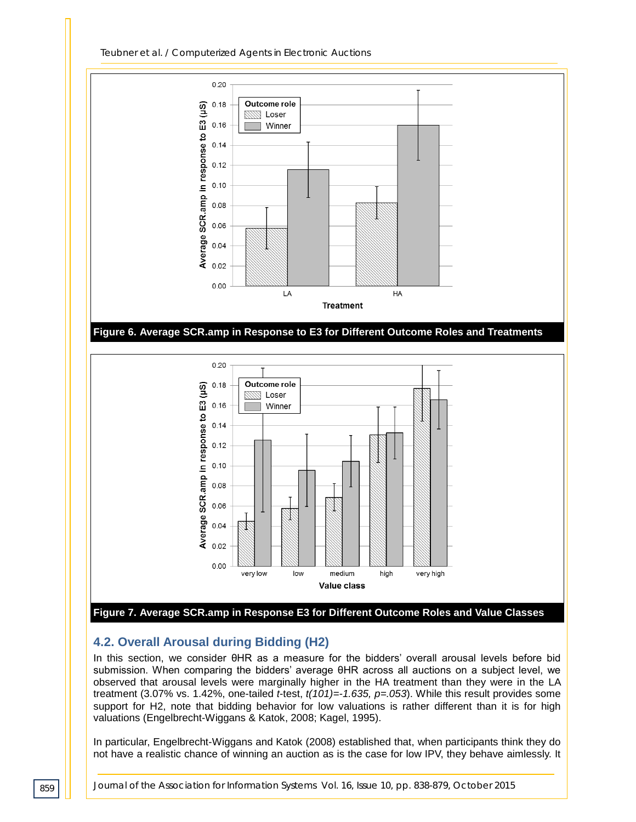

# **4.2. Overall Arousal during Bidding (H2)**

In this section, we consider θHR as a measure for the bidders' overall arousal levels before bid submission. When comparing the bidders' average θHR across all auctions on a subject level, we observed that arousal levels were marginally higher in the HA treatment than they were in the LA treatment (3.07% vs. 1.42%, one-tailed *t*-test, *t(101)=-1.635, p=.053*). While this result provides some support for H2, note that bidding behavior for low valuations is rather different than it is for high valuations (Engelbrecht-Wiggans & Katok, 2008; Kagel, 1995).

In particular, Engelbrecht-Wiggans and Katok (2008) established that, when participants think they do not have a realistic chance of winning an auction as is the case for low IPV, they behave aimlessly. It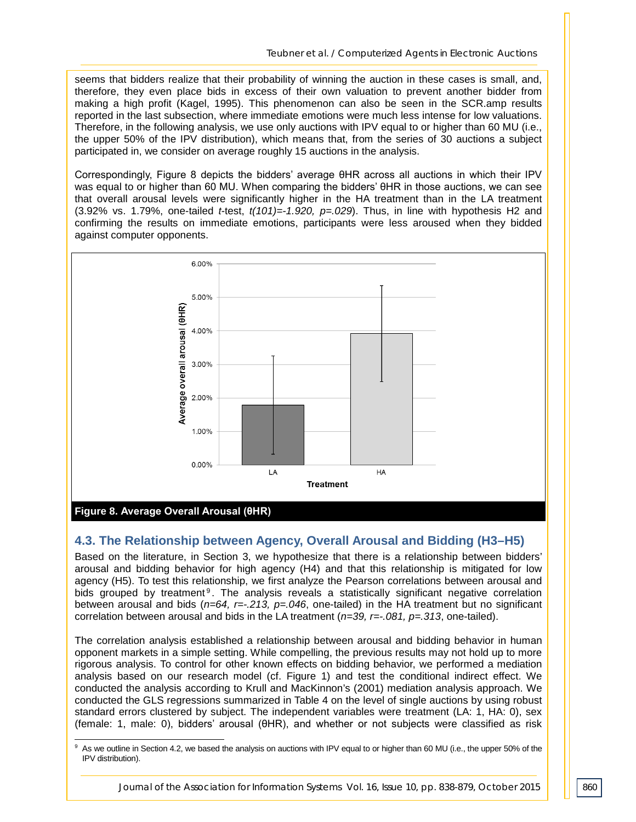seems that bidders realize that their probability of winning the auction in these cases is small, and, therefore, they even place bids in excess of their own valuation to prevent another bidder from making a high profit (Kagel, 1995). This phenomenon can also be seen in the SCR.amp results reported in the last subsection, where immediate emotions were much less intense for low valuations. Therefore, in the following analysis, we use only auctions with IPV equal to or higher than 60 MU (i.e., the upper 50% of the IPV distribution), which means that, from the series of 30 auctions a subject participated in, we consider on average roughly 15 auctions in the analysis.

Correspondingly, Figure 8 depicts the bidders' average θHR across all auctions in which their IPV was equal to or higher than 60 MU. When comparing the bidders' θHR in those auctions, we can see that overall arousal levels were significantly higher in the HA treatment than in the LA treatment (3.92% vs. 1.79%, one-tailed *t*-test, *t(101)=-1.920, p=.029*). Thus, in line with hypothesis H2 and confirming the results on immediate emotions, participants were less aroused when they bidded against computer opponents.



**Figure 8. Average Overall Arousal (θHR)**

#### **4.3. The Relationship between Agency, Overall Arousal and Bidding (H3–H5)**

Based on the literature, in Section 3, we hypothesize that there is a relationship between bidders' arousal and bidding behavior for high agency (H4) and that this relationship is mitigated for low agency (H5). To test this relationship, we first analyze the Pearson correlations between arousal and bids grouped by treatment<sup>9</sup>. The analysis reveals a statistically significant negative correlation between arousal and bids (*n=64, r=-.213, p=.046*, one-tailed) in the HA treatment but no significant correlation between arousal and bids in the LA treatment (*n=39, r=-.081, p=.313*, one-tailed).

The correlation analysis established a relationship between arousal and bidding behavior in human opponent markets in a simple setting. While compelling, the previous results may not hold up to more rigorous analysis. To control for other known effects on bidding behavior, we performed a mediation analysis based on our research model (cf. Figure 1) and test the conditional indirect effect. We conducted the analysis according to Krull and MacKinnon's (2001) mediation analysis approach. We conducted the GLS regressions summarized in Table 4 on the level of single auctions by using robust standard errors clustered by subject. The independent variables were treatment (LA: 1, HA: 0), sex (female: 1, male: 0), bidders' arousal (θHR), and whether or not subjects were classified as risk

As we outline in Section 4.2, we based the analysis on auctions with IPV equal to or higher than 60 MU (i.e., the upper 50% of the IPV distribution).  $\mathsf g$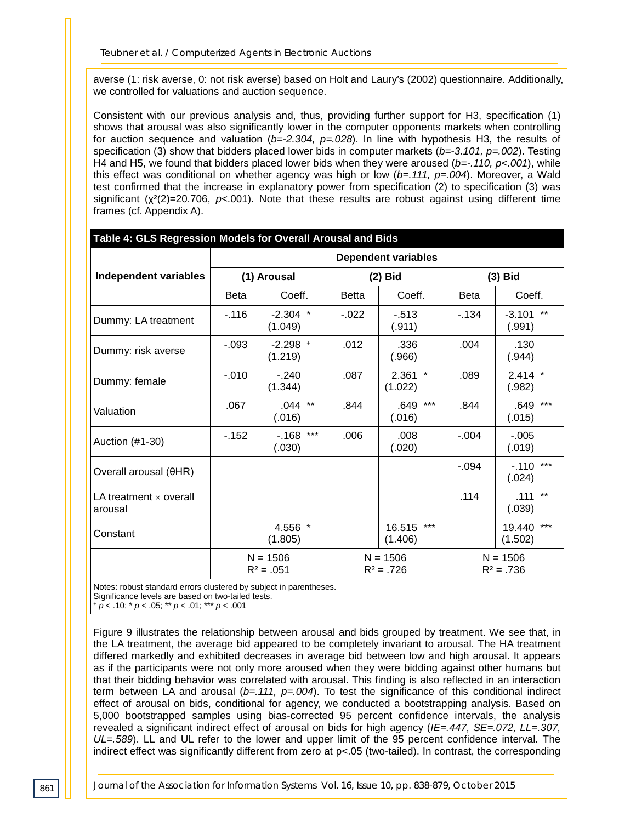averse (1: risk averse, 0: not risk averse) based on Holt and Laury's (2002) questionnaire. Additionally, we controlled for valuations and auction sequence.

Consistent with our previous analysis and, thus, providing further support for H3, specification (1) shows that arousal was also significantly lower in the computer opponents markets when controlling for auction sequence and valuation (*b=-2.304, p=.028*). In line with hypothesis H3, the results of specification (3) show that bidders placed lower bids in computer markets ( $b = -3.101$ ,  $p = .002$ ). Testing H4 and H5, we found that bidders placed lower bids when they were aroused (*b=-.110, p<.001*), while this effect was conditional on whether agency was high or low (*b=.111, p=.004*). Moreover, a Wald test confirmed that the increase in explanatory power from specification (2) to specification (3) was significant (χ²(2)=20.706, *p*<.001). Note that these results are robust against using different time frames (cf. Appendix A).

| Table 4: GLS Regression Models for Overall Arousal and Bids |                            |                            |                            |                          |                            |                            |  |  |
|-------------------------------------------------------------|----------------------------|----------------------------|----------------------------|--------------------------|----------------------------|----------------------------|--|--|
|                                                             | <b>Dependent variables</b> |                            |                            |                          |                            |                            |  |  |
| Independent variables                                       | (1) Arousal                |                            | $(2)$ Bid                  |                          | $(3)$ Bid                  |                            |  |  |
|                                                             | <b>Beta</b>                | Coeff.                     | <b>Betta</b>               | Coeff.                   | <b>Beta</b>                | Coeff.                     |  |  |
| Dummy: LA treatment                                         | $-.116$                    | $-2.304$ *<br>(1.049)      | $-0.022$                   | $-513$<br>(.911)         | $-134$                     | $-3.101$ **<br>(.991)      |  |  |
| Dummy: risk averse                                          | $-.093$                    | $-2.298$ +<br>(1.219)      | .012                       | .336<br>(.966)           | .004                       | .130<br>(.944)             |  |  |
| Dummy: female                                               | $-.010$                    | $-.240$<br>(1.344)         | .087                       | $2.361$ *<br>(1.022)     | .089                       | $2.414$ *<br>(.982)        |  |  |
| Valuation                                                   | .067                       | $.044$ **<br>(.016)        | .844                       | $***$<br>.649<br>(.016)  | .844                       | .649 ***<br>(.015)         |  |  |
| Auction (#1-30)                                             | $-152$                     | $-.168$ ***<br>(.030)      | .006                       | .008<br>(.020)           | $-.004$                    | $-0.005$<br>(.019)         |  |  |
| Overall arousal (θHR)                                       |                            |                            |                            |                          | $-.094$                    | $-.110$ ***<br>(.024)      |  |  |
| LA treatment $\times$ overall<br>arousal                    |                            |                            |                            |                          | .114                       | $***$<br>.111<br>(.039)    |  |  |
| Constant                                                    |                            | 4.556 *<br>(1.805)         |                            | ***<br>16.515<br>(1.406) |                            | $***$<br>19.440<br>(1.502) |  |  |
|                                                             |                            | $N = 1506$<br>$R^2 = .051$ | $N = 1506$<br>$R^2 = .726$ |                          | $N = 1506$<br>$R^2 = .736$ |                            |  |  |

Notes: robust standard errors clustered by subject in parentheses.

Significance levels are based on two-tailed tests.

<sup>+</sup> *p* < .10; \* *p* < .05; \*\* *p* < .01; \*\*\* *p* < .001

Figure 9 illustrates the relationship between arousal and bids grouped by treatment. We see that, in the LA treatment, the average bid appeared to be completely invariant to arousal. The HA treatment differed markedly and exhibited decreases in average bid between low and high arousal. It appears as if the participants were not only more aroused when they were bidding against other humans but that their bidding behavior was correlated with arousal. This finding is also reflected in an interaction term between LA and arousal  $(b=.111, p=.004)$ . To test the significance of this conditional indirect effect of arousal on bids, conditional for agency, we conducted a bootstrapping analysis. Based on 5,000 bootstrapped samples using bias-corrected 95 percent confidence intervals, the analysis revealed a significant indirect effect of arousal on bids for high agency (*IE=.447, SE=.072, LL=.307, UL=.589*). LL and UL refer to the lower and upper limit of the 95 percent confidence interval. The indirect effect was significantly different from zero at p<.05 (two-tailed). In contrast, the corresponding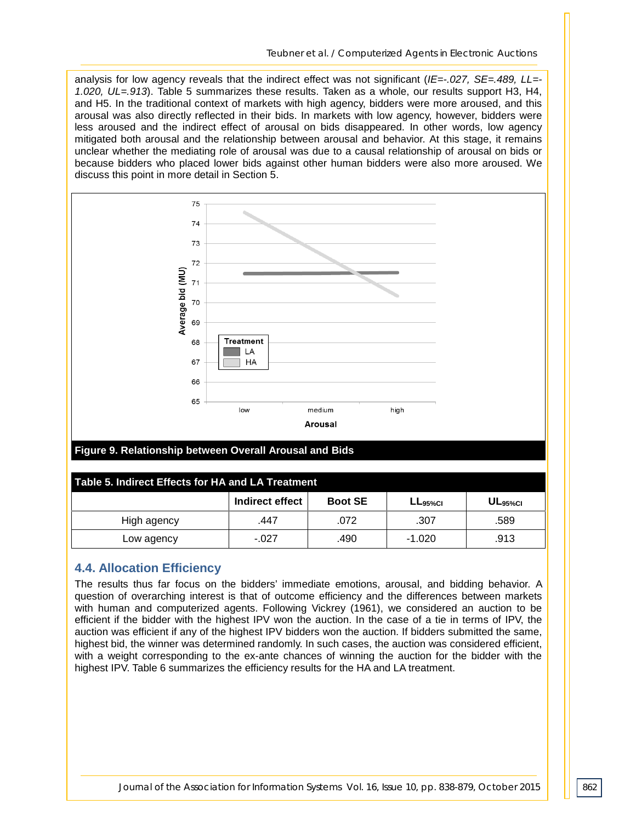analysis for low agency reveals that the indirect effect was not significant (*IE=-.027, SE=.489, LL=- 1.020, UL=.913*). Table 5 summarizes these results. Taken as a whole, our results support H3, H4, and H5. In the traditional context of markets with high agency, bidders were more aroused, and this arousal was also directly reflected in their bids. In markets with low agency, however, bidders were less aroused and the indirect effect of arousal on bids disappeared. In other words, low agency mitigated both arousal and the relationship between arousal and behavior. At this stage, it remains unclear whether the mediating role of arousal was due to a causal relationship of arousal on bids or because bidders who placed lower bids against other human bidders were also more aroused. We discuss this point in more detail in Section 5.



#### **Figure 9. Relationship between Overall Arousal and Bids**

| Table 5. Indirect Effects for HA and LA Treatment |                 |                |               |                     |  |  |  |  |
|---------------------------------------------------|-----------------|----------------|---------------|---------------------|--|--|--|--|
|                                                   | Indirect effect | <b>Boot SE</b> | $L_{95\%}$ CI | UL <sub>95%CI</sub> |  |  |  |  |
| High agency                                       | .447            | .072           | .307          | .589                |  |  |  |  |
| Low agency                                        | $-027$          | .490           | $-1.020$      | .913                |  |  |  |  |

#### **4.4. Allocation Efficiency**

The results thus far focus on the bidders' immediate emotions, arousal, and bidding behavior. A question of overarching interest is that of outcome efficiency and the differences between markets with human and computerized agents. Following Vickrey (1961), we considered an auction to be efficient if the bidder with the highest IPV won the auction. In the case of a tie in terms of IPV, the auction was efficient if any of the highest IPV bidders won the auction. If bidders submitted the same, highest bid, the winner was determined randomly. In such cases, the auction was considered efficient, with a weight corresponding to the ex-ante chances of winning the auction for the bidder with the highest IPV. Table 6 summarizes the efficiency results for the HA and LA treatment.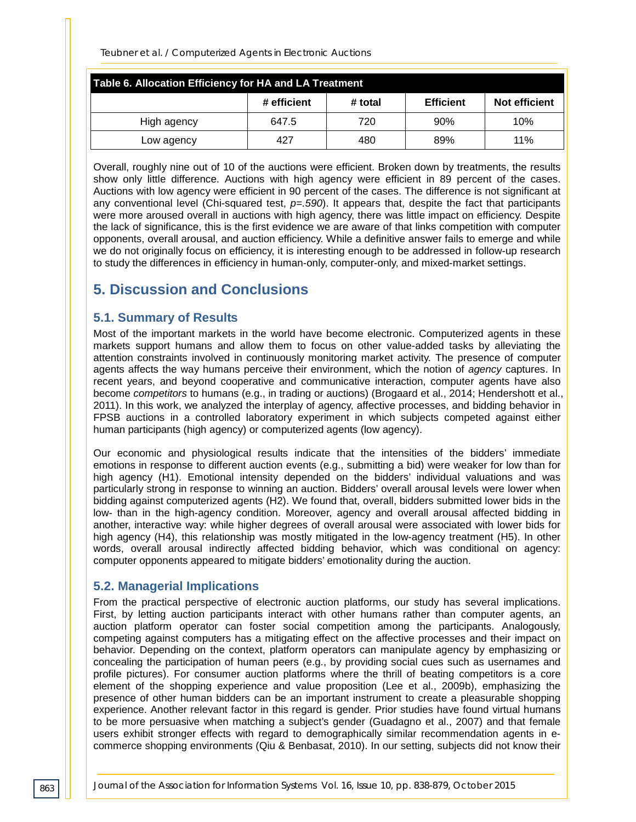| Table 6. Allocation Efficiency for HA and LA Treatment |             |         |                  |               |  |  |  |
|--------------------------------------------------------|-------------|---------|------------------|---------------|--|--|--|
|                                                        | # efficient | # total | <b>Efficient</b> | Not efficient |  |  |  |
| High agency                                            | 647.5       | 720     | 90%              | 10%           |  |  |  |
| Low agency                                             | 427         | 480     | 89%              | 11%           |  |  |  |

Overall, roughly nine out of 10 of the auctions were efficient. Broken down by treatments, the results show only little difference. Auctions with high agency were efficient in 89 percent of the cases. Auctions with low agency were efficient in 90 percent of the cases. The difference is not significant at any conventional level (Chi-squared test, *p=.590*). It appears that, despite the fact that participants were more aroused overall in auctions with high agency, there was little impact on efficiency. Despite the lack of significance, this is the first evidence we are aware of that links competition with computer opponents, overall arousal, and auction efficiency. While a definitive answer fails to emerge and while we do not originally focus on efficiency, it is interesting enough to be addressed in follow-up research to study the differences in efficiency in human-only, computer-only, and mixed-market settings.

# **5. Discussion and Conclusions**

#### **5.1. Summary of Results**

Most of the important markets in the world have become electronic. Computerized agents in these markets support humans and allow them to focus on other value-added tasks by alleviating the attention constraints involved in continuously monitoring market activity. The presence of computer agents affects the way humans perceive their environment, which the notion of *agency* captures. In recent years, and beyond cooperative and communicative interaction, computer agents have also become *competitors* to humans (e.g., in trading or auctions) (Brogaard et al., 2014; Hendershott et al., 2011). In this work, we analyzed the interplay of agency, affective processes, and bidding behavior in FPSB auctions in a controlled laboratory experiment in which subjects competed against either human participants (high agency) or computerized agents (low agency).

Our economic and physiological results indicate that the intensities of the bidders' immediate emotions in response to different auction events (e.g., submitting a bid) were weaker for low than for high agency (H1). Emotional intensity depended on the bidders' individual valuations and was particularly strong in response to winning an auction. Bidders' overall arousal levels were lower when bidding against computerized agents (H2). We found that, overall, bidders submitted lower bids in the low- than in the high-agency condition. Moreover, agency and overall arousal affected bidding in another, interactive way: while higher degrees of overall arousal were associated with lower bids for high agency (H4), this relationship was mostly mitigated in the low-agency treatment (H5). In other words, overall arousal indirectly affected bidding behavior, which was conditional on agency: computer opponents appeared to mitigate bidders' emotionality during the auction.

#### **5.2. Managerial Implications**

From the practical perspective of electronic auction platforms, our study has several implications. First, by letting auction participants interact with other humans rather than computer agents, an auction platform operator can foster social competition among the participants. Analogously, competing against computers has a mitigating effect on the affective processes and their impact on behavior. Depending on the context, platform operators can manipulate agency by emphasizing or concealing the participation of human peers (e.g., by providing social cues such as usernames and profile pictures). For consumer auction platforms where the thrill of beating competitors is a core element of the shopping experience and value proposition (Lee et al., 2009b), emphasizing the presence of other human bidders can be an important instrument to create a pleasurable shopping experience. Another relevant factor in this regard is gender. Prior studies have found virtual humans to be more persuasive when matching a subject's gender (Guadagno et al., 2007) and that female users exhibit stronger effects with regard to demographically similar recommendation agents in ecommerce shopping environments (Qiu & Benbasat, 2010). In our setting, subjects did not know their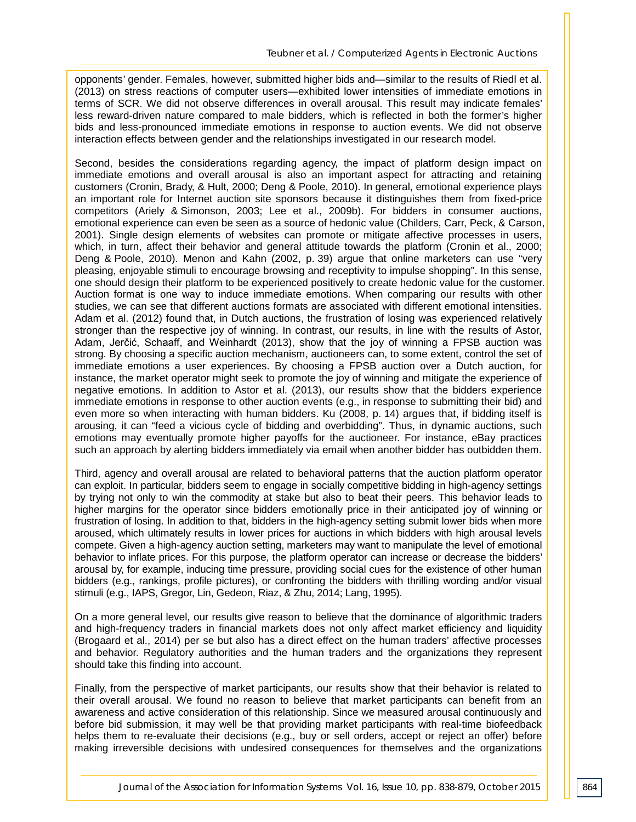opponents' gender. Females, however, submitted higher bids and—similar to the results of Riedl et al. (2013) on stress reactions of computer users—exhibited lower intensities of immediate emotions in terms of SCR. We did not observe differences in overall arousal. This result may indicate females' less reward-driven nature compared to male bidders, which is reflected in both the former's higher bids and less-pronounced immediate emotions in response to auction events. We did not observe interaction effects between gender and the relationships investigated in our research model.

Second, besides the considerations regarding agency, the impact of platform design impact on immediate emotions and overall arousal is also an important aspect for attracting and retaining customers (Cronin, Brady, & Hult, 2000; Deng & Poole, 2010). In general, emotional experience plays an important role for Internet auction site sponsors because it distinguishes them from fixed-price competitors (Ariely & Simonson, 2003; Lee et al., 2009b). For bidders in consumer auctions, emotional experience can even be seen as a source of hedonic value (Childers, Carr, Peck, & Carson, 2001). Single design elements of websites can promote or mitigate affective processes in users, which, in turn, affect their behavior and general attitude towards the platform (Cronin et al., 2000; Deng & Poole, 2010). Menon and Kahn (2002, p. 39) argue that online marketers can use "very pleasing, enjoyable stimuli to encourage browsing and receptivity to impulse shopping". In this sense, one should design their platform to be experienced positively to create hedonic value for the customer. Auction format is one way to induce immediate emotions. When comparing our results with other studies, we can see that different auctions formats are associated with different emotional intensities. Adam et al. (2012) found that, in Dutch auctions, the frustration of losing was experienced relatively stronger than the respective joy of winning. In contrast, our results, in line with the results of Astor, Adam, Jerčić, Schaaff, and Weinhardt (2013), show that the joy of winning a FPSB auction was strong. By choosing a specific auction mechanism, auctioneers can, to some extent, control the set of immediate emotions a user experiences. By choosing a FPSB auction over a Dutch auction, for instance, the market operator might seek to promote the joy of winning and mitigate the experience of negative emotions. In addition to Astor et al. (2013), our results show that the bidders experience immediate emotions in response to other auction events (e.g., in response to submitting their bid) and even more so when interacting with human bidders. Ku (2008, p. 14) argues that, if bidding itself is arousing, it can "feed a vicious cycle of bidding and overbidding". Thus, in dynamic auctions, such emotions may eventually promote higher payoffs for the auctioneer. For instance, eBay practices such an approach by alerting bidders immediately via email when another bidder has outbidden them.

Third, agency and overall arousal are related to behavioral patterns that the auction platform operator can exploit. In particular, bidders seem to engage in socially competitive bidding in high-agency settings by trying not only to win the commodity at stake but also to beat their peers. This behavior leads to higher margins for the operator since bidders emotionally price in their anticipated joy of winning or frustration of losing. In addition to that, bidders in the high-agency setting submit lower bids when more aroused, which ultimately results in lower prices for auctions in which bidders with high arousal levels compete. Given a high-agency auction setting, marketers may want to manipulate the level of emotional behavior to inflate prices. For this purpose, the platform operator can increase or decrease the bidders' arousal by, for example, inducing time pressure, providing social cues for the existence of other human bidders (e.g., rankings, profile pictures), or confronting the bidders with thrilling wording and/or visual stimuli (e.g., IAPS, Gregor, Lin, Gedeon, Riaz, & Zhu, 2014; Lang, 1995).

On a more general level, our results give reason to believe that the dominance of algorithmic traders and high-frequency traders in financial markets does not only affect market efficiency and liquidity (Brogaard et al., 2014) per se but also has a direct effect on the human traders' affective processes and behavior. Regulatory authorities and the human traders and the organizations they represent should take this finding into account.

Finally, from the perspective of market participants, our results show that their behavior is related to their overall arousal. We found no reason to believe that market participants can benefit from an awareness and active consideration of this relationship. Since we measured arousal continuously and before bid submission, it may well be that providing market participants with real-time biofeedback helps them to re-evaluate their decisions (e.g., buy or sell orders, accept or reject an offer) before making irreversible decisions with undesired consequences for themselves and the organizations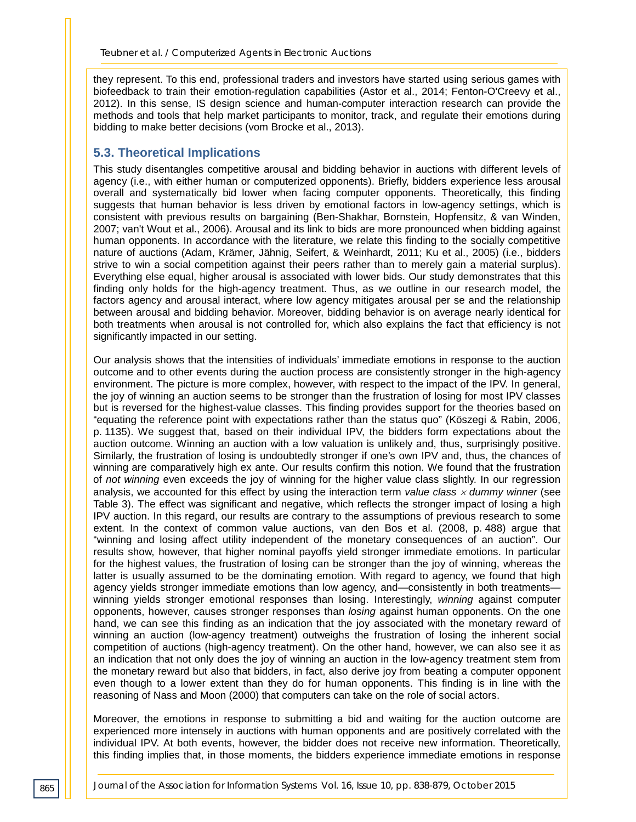they represent. To this end, professional traders and investors have started using serious games with biofeedback to train their emotion-regulation capabilities (Astor et al., 2014; Fenton-O'Creevy et al., 2012). In this sense, IS design science and human-computer interaction research can provide the methods and tools that help market participants to monitor, track, and regulate their emotions during bidding to make better decisions (vom Brocke et al., 2013).

## **5.3. Theoretical Implications**

This study disentangles competitive arousal and bidding behavior in auctions with different levels of agency (i.e., with either human or computerized opponents). Briefly, bidders experience less arousal overall and systematically bid lower when facing computer opponents. Theoretically, this finding suggests that human behavior is less driven by emotional factors in low-agency settings, which is consistent with previous results on bargaining (Ben-Shakhar, Bornstein, Hopfensitz, & van Winden, 2007; van't Wout et al., 2006). Arousal and its link to bids are more pronounced when bidding against human opponents. In accordance with the literature, we relate this finding to the socially competitive nature of auctions (Adam, Krämer, Jähnig, Seifert, & Weinhardt, 2011; Ku et al., 2005) (i.e., bidders strive to win a social competition against their peers rather than to merely gain a material surplus). Everything else equal, higher arousal is associated with lower bids. Our study demonstrates that this finding only holds for the high-agency treatment. Thus, as we outline in our research model, the factors agency and arousal interact, where low agency mitigates arousal per se and the relationship between arousal and bidding behavior. Moreover, bidding behavior is on average nearly identical for both treatments when arousal is not controlled for, which also explains the fact that efficiency is not significantly impacted in our setting.

Our analysis shows that the intensities of individuals' immediate emotions in response to the auction outcome and to other events during the auction process are consistently stronger in the high-agency environment. The picture is more complex, however, with respect to the impact of the IPV. In general, the joy of winning an auction seems to be stronger than the frustration of losing for most IPV classes but is reversed for the highest-value classes. This finding provides support for the theories based on "equating the reference point with expectations rather than the status quo" (Köszegi & Rabin, 2006, p. 1135). We suggest that, based on their individual IPV, the bidders form expectations about the auction outcome. Winning an auction with a low valuation is unlikely and, thus, surprisingly positive. Similarly, the frustration of losing is undoubtedly stronger if one's own IPV and, thus, the chances of winning are comparatively high ex ante. Our results confirm this notion. We found that the frustration of *not winning* even exceeds the joy of winning for the higher value class slightly. In our regression analysis, we accounted for this effect by using the interaction term *value class* <sup>×</sup> *dummy winner* (see Table 3). The effect was significant and negative, which reflects the stronger impact of losing a high IPV auction. In this regard, our results are contrary to the assumptions of previous research to some extent. In the context of common value auctions, van den Bos et al. (2008, p. 488) argue that "winning and losing affect utility independent of the monetary consequences of an auction". Our results show, however, that higher nominal payoffs yield stronger immediate emotions. In particular for the highest values, the frustration of losing can be stronger than the joy of winning, whereas the latter is usually assumed to be the dominating emotion. With regard to agency, we found that high agency yields stronger immediate emotions than low agency, and—consistently in both treatments winning yields stronger emotional responses than losing. Interestingly, *winning* against computer opponents, however, causes stronger responses than *losing* against human opponents. On the one hand, we can see this finding as an indication that the joy associated with the monetary reward of winning an auction (low-agency treatment) outweighs the frustration of losing the inherent social competition of auctions (high-agency treatment). On the other hand, however, we can also see it as an indication that not only does the joy of winning an auction in the low-agency treatment stem from the monetary reward but also that bidders, in fact, also derive joy from beating a computer opponent even though to a lower extent than they do for human opponents. This finding is in line with the reasoning of Nass and Moon (2000) that computers can take on the role of social actors.

Moreover, the emotions in response to submitting a bid and waiting for the auction outcome are experienced more intensely in auctions with human opponents and are positively correlated with the individual IPV. At both events, however, the bidder does not receive new information. Theoretically, this finding implies that, in those moments, the bidders experience immediate emotions in response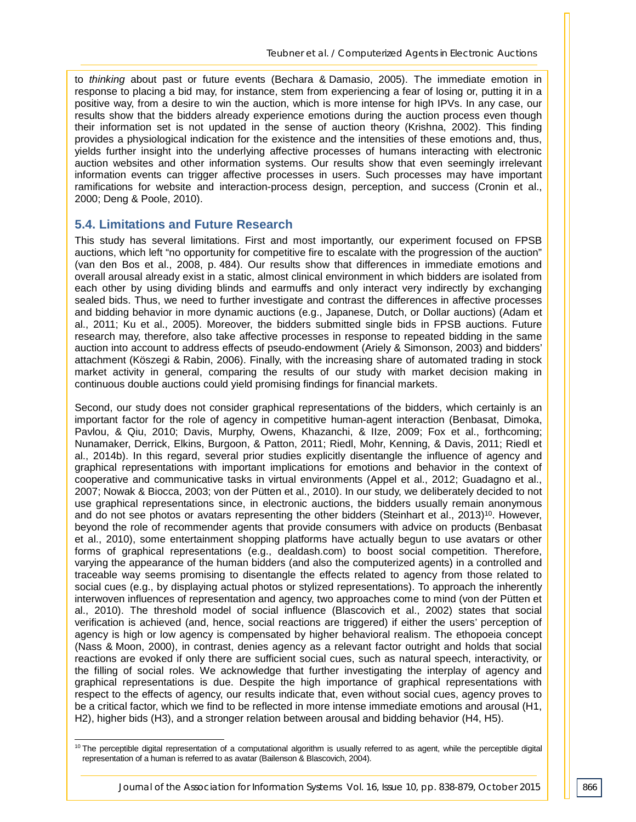to *thinking* about past or future events (Bechara & Damasio, 2005). The immediate emotion in response to placing a bid may, for instance, stem from experiencing a fear of losing or, putting it in a positive way, from a desire to win the auction, which is more intense for high IPVs. In any case, our results show that the bidders already experience emotions during the auction process even though their information set is not updated in the sense of auction theory (Krishna, 2002). This finding provides a physiological indication for the existence and the intensities of these emotions and, thus, yields further insight into the underlying affective processes of humans interacting with electronic auction websites and other information systems. Our results show that even seemingly irrelevant information events can trigger affective processes in users. Such processes may have important ramifications for website and interaction-process design, perception, and success (Cronin et al., 2000; Deng & Poole, 2010).

#### **5.4. Limitations and Future Research**

-

This study has several limitations. First and most importantly, our experiment focused on FPSB auctions, which left "no opportunity for competitive fire to escalate with the progression of the auction" (van den Bos et al., 2008, p. 484). Our results show that differences in immediate emotions and overall arousal already exist in a static, almost clinical environment in which bidders are isolated from each other by using dividing blinds and earmuffs and only interact very indirectly by exchanging sealed bids. Thus, we need to further investigate and contrast the differences in affective processes and bidding behavior in more dynamic auctions (e.g., Japanese, Dutch, or Dollar auctions) (Adam et al., 2011; Ku et al., 2005). Moreover, the bidders submitted single bids in FPSB auctions. Future research may, therefore, also take affective processes in response to repeated bidding in the same auction into account to address effects of pseudo-endowment (Ariely & Simonson, 2003) and bidders' attachment (Köszegi & Rabin, 2006). Finally, with the increasing share of automated trading in stock market activity in general, comparing the results of our study with market decision making in continuous double auctions could yield promising findings for financial markets.

Second, our study does not consider graphical representations of the bidders, which certainly is an important factor for the role of agency in competitive human-agent interaction (Benbasat, Dimoka, Pavlou, & Qiu, 2010; Davis, Murphy, Owens, Khazanchi, & IIze, 2009; Fox et al., forthcoming; Nunamaker, Derrick, Elkins, Burgoon, & Patton, 2011; Riedl, Mohr, Kenning, & Davis, 2011; Riedl et al., 2014b). In this regard, several prior studies explicitly disentangle the influence of agency and graphical representations with important implications for emotions and behavior in the context of cooperative and communicative tasks in virtual environments (Appel et al., 2012; Guadagno et al., 2007; Nowak & Biocca, 2003; von der Pütten et al., 2010). In our study, we deliberately decided to not use graphical representations since, in electronic auctions, the bidders usually remain anonymous and do not see photos or avatars representing the other bidders (Steinhart et al., 2013)<sup>10</sup>. However, beyond the role of recommender agents that provide consumers with advice on products (Benbasat et al., 2010), some entertainment shopping platforms have actually begun to use avatars or other forms of graphical representations (e.g., dealdash.com) to boost social competition. Therefore, varying the appearance of the human bidders (and also the computerized agents) in a controlled and traceable way seems promising to disentangle the effects related to agency from those related to social cues (e.g., by displaying actual photos or stylized representations). To approach the inherently interwoven influences of representation and agency, two approaches come to mind (von der Pütten et al., 2010). The threshold model of social influence (Blascovich et al., 2002) states that social verification is achieved (and, hence, social reactions are triggered) if either the users' perception of agency is high or low agency is compensated by higher behavioral realism. The ethopoeia concept (Nass & Moon, 2000), in contrast, denies agency as a relevant factor outright and holds that social reactions are evoked if only there are sufficient social cues, such as natural speech, interactivity, or the filling of social roles. We acknowledge that further investigating the interplay of agency and graphical representations is due. Despite the high importance of graphical representations with respect to the effects of agency, our results indicate that, even without social cues, agency proves to be a critical factor, which we find to be reflected in more intense immediate emotions and arousal (H1, H2), higher bids (H3), and a stronger relation between arousal and bidding behavior (H4, H5).

<sup>&</sup>lt;sup>10</sup> The perceptible digital representation of a computational algorithm is usually referred to as agent, while the perceptible digital representation of a human is referred to as avatar (Bailenson & Blascovich, 2004).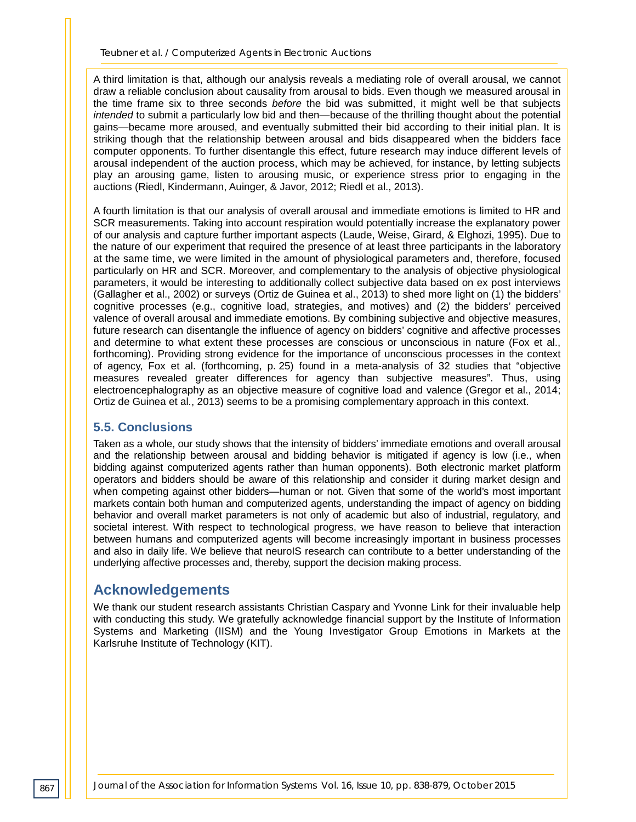A third limitation is that, although our analysis reveals a mediating role of overall arousal, we cannot draw a reliable conclusion about causality from arousal to bids. Even though we measured arousal in the time frame six to three seconds *before* the bid was submitted, it might well be that subjects *intended* to submit a particularly low bid and then—because of the thrilling thought about the potential gains—became more aroused, and eventually submitted their bid according to their initial plan. It is striking though that the relationship between arousal and bids disappeared when the bidders face computer opponents. To further disentangle this effect, future research may induce different levels of arousal independent of the auction process, which may be achieved, for instance, by letting subjects play an arousing game, listen to arousing music, or experience stress prior to engaging in the auctions (Riedl, Kindermann, Auinger, & Javor, 2012; Riedl et al., 2013).

A fourth limitation is that our analysis of overall arousal and immediate emotions is limited to HR and SCR measurements. Taking into account respiration would potentially increase the explanatory power of our analysis and capture further important aspects (Laude, Weise, Girard, & Elghozi, 1995). Due to the nature of our experiment that required the presence of at least three participants in the laboratory at the same time, we were limited in the amount of physiological parameters and, therefore, focused particularly on HR and SCR. Moreover, and complementary to the analysis of objective physiological parameters, it would be interesting to additionally collect subjective data based on ex post interviews (Gallagher et al., 2002) or surveys (Ortiz de Guinea et al., 2013) to shed more light on (1) the bidders' cognitive processes (e.g., cognitive load, strategies, and motives) and (2) the bidders' perceived valence of overall arousal and immediate emotions. By combining subjective and objective measures, future research can disentangle the influence of agency on bidders' cognitive and affective processes and determine to what extent these processes are conscious or unconscious in nature (Fox et al., forthcoming). Providing strong evidence for the importance of unconscious processes in the context of agency, Fox et al. (forthcoming, p. 25) found in a meta-analysis of 32 studies that "objective measures revealed greater differences for agency than subjective measures". Thus, using electroencephalography as an objective measure of cognitive load and valence (Gregor et al., 2014; Ortiz de Guinea et al., 2013) seems to be a promising complementary approach in this context.

#### **5.5. Conclusions**

Taken as a whole, our study shows that the intensity of bidders' immediate emotions and overall arousal and the relationship between arousal and bidding behavior is mitigated if agency is low (i.e., when bidding against computerized agents rather than human opponents). Both electronic market platform operators and bidders should be aware of this relationship and consider it during market design and when competing against other bidders—human or not. Given that some of the world's most important markets contain both human and computerized agents, understanding the impact of agency on bidding behavior and overall market parameters is not only of academic but also of industrial, regulatory, and societal interest. With respect to technological progress, we have reason to believe that interaction between humans and computerized agents will become increasingly important in business processes and also in daily life. We believe that neuroIS research can contribute to a better understanding of the underlying affective processes and, thereby, support the decision making process.

# **Acknowledgements**

We thank our student research assistants Christian Caspary and Yvonne Link for their invaluable help with conducting this study. We gratefully acknowledge financial support by the Institute of Information Systems and Marketing (IISM) and the Young Investigator Group Emotions in Markets at the Karlsruhe Institute of Technology (KIT).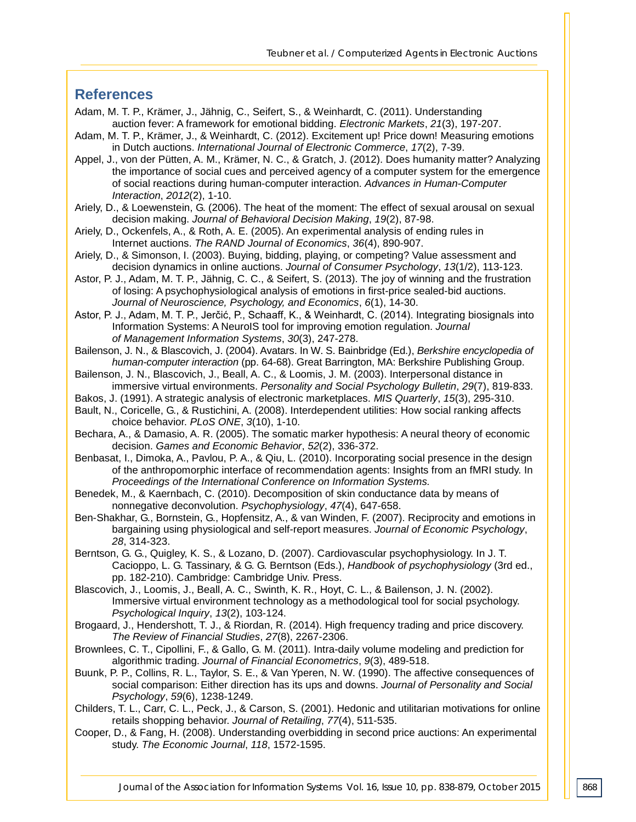# **References**

- Adam, M. T. P., Krämer, J., Jähnig, C., Seifert, S., & Weinhardt, C. (2011). Understanding auction fever: A framework for emotional bidding. *Electronic Markets*, *21*(3), 197-207.
- Adam, M. T. P., Krämer, J., & Weinhardt, C. (2012). Excitement up! Price down! Measuring emotions in Dutch auctions. *International Journal of Electronic Commerce*, *17*(2), 7-39.
- Appel, J., von der Pütten, A. M., Krämer, N. C., & Gratch, J. (2012). Does humanity matter? Analyzing the importance of social cues and perceived agency of a computer system for the emergence of social reactions during human-computer interaction. *Advances in Human-Computer Interaction*, *2012*(2), 1-10.
- Ariely, D., & Loewenstein, G. (2006). The heat of the moment: The effect of sexual arousal on sexual decision making. *Journal of Behavioral Decision Making*, *19*(2), 87-98.
- Ariely, D., Ockenfels, A., & Roth, A. E. (2005). An experimental analysis of ending rules in Internet auctions. *The RAND Journal of Economics*, *36*(4), 890-907.
- Ariely, D., & Simonson, I. (2003). Buying, bidding, playing, or competing? Value assessment and decision dynamics in online auctions. *Journal of Consumer Psychology*, *13*(1/2), 113-123.
- Astor, P. J., Adam, M. T. P., Jähnig, C. C., & Seifert, S. (2013). The joy of winning and the frustration of losing: A psychophysiological analysis of emotions in first-price sealed-bid auctions. *Journal of Neuroscience, Psychology, and Economics*, *6*(1), 14-30.
- Astor, P. J., Adam, M. T. P., Jerčić, P., Schaaff, K., & Weinhardt, C. (2014). Integrating biosignals into Information Systems: A NeuroIS tool for improving emotion regulation. *Journal of Management Information Systems*, *30*(3), 247-278.
- Bailenson, J. N., & Blascovich, J. (2004). Avatars. In W. S. Bainbridge (Ed.), *Berkshire encyclopedia of human-computer interaction* (pp. 64-68). Great Barrington, MA: Berkshire Publishing Group.
- Bailenson, J. N., Blascovich, J., Beall, A. C., & Loomis, J. M. (2003). Interpersonal distance in immersive virtual environments. *Personality and Social Psychology Bulletin*, *29*(7), 819-833.
- Bakos, J. (1991). A strategic analysis of electronic marketplaces. *MIS Quarterly*, *15*(3), 295-310.
- Bault, N., Coricelle, G., & Rustichini, A. (2008). Interdependent utilities: How social ranking affects choice behavior. *PLoS ONE*, *3*(10), 1-10.
- Bechara, A., & Damasio, A. R. (2005). The somatic marker hypothesis: A neural theory of economic decision. *Games and Economic Behavior*, *52*(2), 336-372.
- Benbasat, I., Dimoka, A., Pavlou, P. A., & Qiu, L. (2010). Incorporating social presence in the design of the anthropomorphic interface of recommendation agents: Insights from an fMRI study. In *Proceedings of the International Conference on Information Systems.*
- Benedek, M., & Kaernbach, C. (2010). Decomposition of skin conductance data by means of nonnegative deconvolution. *Psychophysiology*, *47*(4), 647-658.
- Ben-Shakhar, G., Bornstein, G., Hopfensitz, A., & van Winden, F. (2007). Reciprocity and emotions in bargaining using physiological and self-report measures. *Journal of Economic Psychology*, *28*, 314-323.
- Berntson, G. G., Quigley, K. S., & Lozano, D. (2007). Cardiovascular psychophysiology. In J. T. Cacioppo, L. G. Tassinary, & G. G. Berntson (Eds.), *Handbook of psychophysiology* (3rd ed., pp. 182-210). Cambridge: Cambridge Univ. Press.
- Blascovich, J., Loomis, J., Beall, A. C., Swinth, K. R., Hoyt, C. L., & Bailenson, J. N. (2002). Immersive virtual environment technology as a methodological tool for social psychology. *Psychological Inquiry*, *13*(2), 103-124.
- Brogaard, J., Hendershott, T. J., & Riordan, R. (2014). High frequency trading and price discovery. *The Review of Financial Studies*, *27*(8), 2267-2306.
- Brownlees, C. T., Cipollini, F., & Gallo, G. M. (2011). Intra-daily volume modeling and prediction for algorithmic trading. *Journal of Financial Econometrics*, *9*(3), 489-518.
- Buunk, P. P., Collins, R. L., Taylor, S. E., & Van Yperen, N. W. (1990). The affective consequences of social comparison: Either direction has its ups and downs. *Journal of Personality and Social Psychology*, *59*(6), 1238-1249.
- Childers, T. L., Carr, C. L., Peck, J., & Carson, S. (2001). Hedonic and utilitarian motivations for online retails shopping behavior. *Journal of Retailing*, *77*(4), 511-535.
- Cooper, D., & Fang, H. (2008). Understanding overbidding in second price auctions: An experimental study. *The Economic Journal*, *118*, 1572-1595.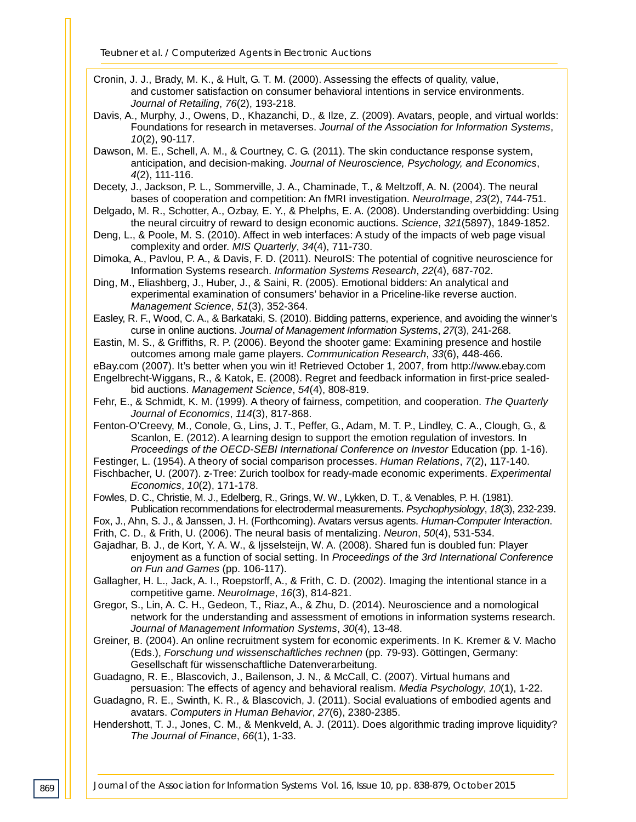- Cronin, J. J., Brady, M. K., & Hult, G. T. M. (2000). Assessing the effects of quality, value, and customer satisfaction on consumer behavioral intentions in service environments. *Journal of Retailing*, *76*(2), 193-218.
- Davis, A., Murphy, J., Owens, D., Khazanchi, D., & Ilze, Z. (2009). Avatars, people, and virtual worlds: Foundations for research in metaverses. *Journal of the Association for Information Systems*, *10*(2), 90-117.
- Dawson, M. E., Schell, A. M., & Courtney, C. G. (2011). The skin conductance response system, anticipation, and decision-making. *Journal of Neuroscience, Psychology, and Economics*, *4*(2), 111-116.
- Decety, J., Jackson, P. L., Sommerville, J. A., Chaminade, T., & Meltzoff, A. N. (2004). The neural bases of cooperation and competition: An fMRI investigation. *NeuroImage*, *23*(2), 744-751.
- Delgado, M. R., Schotter, A., Ozbay, E. Y., & Phelphs, E. A. (2008). Understanding overbidding: Using the neural circuitry of reward to design economic auctions. *Science*, *321*(5897), 1849-1852.
- Deng, L., & Poole, M. S. (2010). Affect in web interfaces: A study of the impacts of web page visual complexity and order. *MIS Quarterly*, *34*(4), 711-730.
- Dimoka, A., Pavlou, P. A., & Davis, F. D. (2011). NeuroIS: The potential of cognitive neuroscience for Information Systems research. *Information Systems Research*, *22*(4), 687-702.
- Ding, M., Eliashberg, J., Huber, J., & Saini, R. (2005). Emotional bidders: An analytical and experimental examination of consumers' behavior in a Priceline-like reverse auction. *Management Science*, *51*(3), 352-364.
- Easley, R. F., Wood, C. A., & Barkataki, S. (2010). Bidding patterns, experience, and avoiding the winner's curse in online auctions. *Journal of Management Information Systems*, *27*(3), 241-268.
- Eastin, M. S., & Griffiths, R. P. (2006). Beyond the shooter game: Examining presence and hostile outcomes among male game players. *Communication Research*, *33*(6), 448-466.
- eBay.com (2007). It's better when you win it! Retrieved October 1, 2007, from http://www.ebay.com
- Engelbrecht-Wiggans, R., & Katok, E. (2008). Regret and feedback information in first-price sealedbid auctions. *Management Science*, *54*(4), 808-819.
- Fehr, E., & Schmidt, K. M. (1999). A theory of fairness, competition, and cooperation. *The Quarterly Journal of Economics*, *114*(3), 817-868.
- Fenton-O'Creevy, M., Conole, G., Lins, J. T., Peffer, G., Adam, M. T. P., Lindley, C. A., Clough, G., & Scanlon, E. (2012). A learning design to support the emotion regulation of investors. In *Proceedings of the OECD-SEBI International Conference on Investor Education (pp. 1-16).*
- Festinger, L. (1954). A theory of social comparison processes. *Human Relations*, *7*(2), 117-140.
- Fischbacher, U. (2007). z-Tree: Zurich toolbox for ready-made economic experiments. *Experimental Economics*, *10*(2), 171-178.
- Fowles, D. C., Christie, M. J., Edelberg, R., Grings, W. W., Lykken, D. T., & Venables, P. H. (1981). Publication recommendations for electrodermal measurements. *Psychophysiology*, *18*(3), 232-239.
- Fox, J., Ahn, S. J., & Janssen, J. H. (Forthcoming). Avatars versus agents. *Human-Computer Interaction*.
- Frith, C. D., & Frith, U. (2006). The neural basis of mentalizing. *Neuron*, *50*(4), 531-534.
- Gajadhar, B. J., de Kort, Y. A. W., & Ijsselsteijn, W. A. (2008). Shared fun is doubled fun: Player enjoyment as a function of social setting. In *Proceedings of the 3rd International Conference on Fun and Games* (pp. 106-117).
- Gallagher, H. L., Jack, A. I., Roepstorff, A., & Frith, C. D. (2002). Imaging the intentional stance in a competitive game. *NeuroImage*, *16*(3), 814-821.
- Gregor, S., Lin, A. C. H., Gedeon, T., Riaz, A., & Zhu, D. (2014). Neuroscience and a nomological network for the understanding and assessment of emotions in information systems research. *Journal of Management Information Systems*, *30*(4), 13-48.
- Greiner, B. (2004). An online recruitment system for economic experiments. In K. Kremer & V. Macho (Eds.), *Forschung und wissenschaftliches rechnen* (pp. 79-93). Göttingen, Germany: Gesellschaft für wissenschaftliche Datenverarbeitung.
- Guadagno, R. E., Blascovich, J., Bailenson, J. N., & McCall, C. (2007). Virtual humans and persuasion: The effects of agency and behavioral realism. *Media Psychology*, *10*(1), 1-22.
- Guadagno, R. E., Swinth, K. R., & Blascovich, J. (2011). Social evaluations of embodied agents and avatars. *Computers in Human Behavior*, *27*(6), 2380-2385.
- Hendershott, T. J., Jones, C. M., & Menkveld, A. J. (2011). Does algorithmic trading improve liquidity? *The Journal of Finance*, *66*(1), 1-33.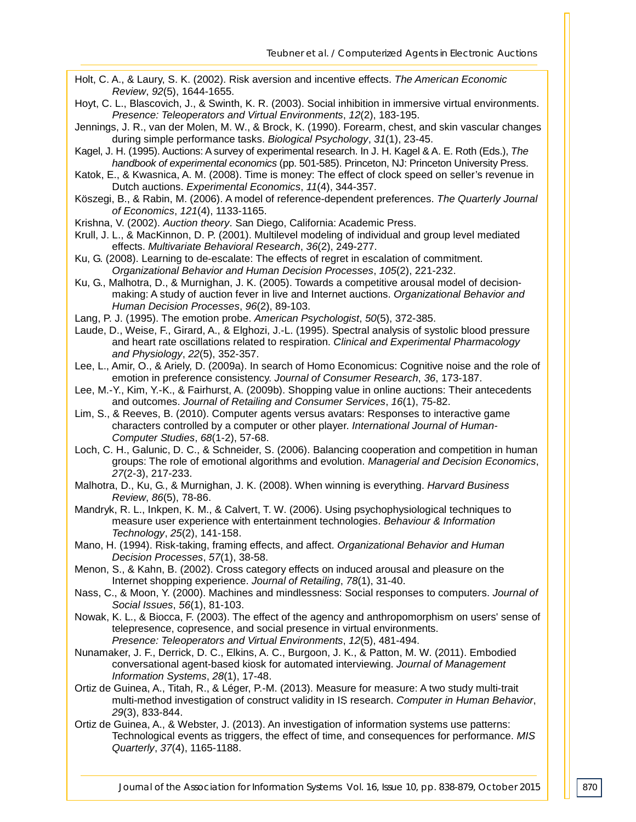- Holt, C. A., & Laury, S. K. (2002). Risk aversion and incentive effects. *The American Economic Review*, *92*(5), 1644-1655.
- Hoyt, C. L., Blascovich, J., & Swinth, K. R. (2003). Social inhibition in immersive virtual environments. *Presence: Teleoperators and Virtual Environments*, *12*(2), 183-195.
- Jennings, J. R., van der Molen, M. W., & Brock, K. (1990). Forearm, chest, and skin vascular changes during simple performance tasks. *Biological Psychology*, *31*(1), 23-45.
- Kagel, J. H. (1995). Auctions: A survey of experimental research. In J. H. Kagel & A. E. Roth (Eds.), *The handbook of experimental economics* (pp. 501-585). Princeton, NJ: Princeton University Press.
- Katok, E., & Kwasnica, A. M. (2008). Time is money: The effect of clock speed on seller's revenue in Dutch auctions. *Experimental Economics*, *11*(4), 344-357.
- Köszegi, B., & Rabin, M. (2006). A model of reference-dependent preferences. *The Quarterly Journal of Economics*, *121*(4), 1133-1165.
- Krishna, V. (2002). *Auction theory*. San Diego, California: Academic Press.
- Krull, J. L., & MacKinnon, D. P. (2001). Multilevel modeling of individual and group level mediated effects. *Multivariate Behavioral Research*, *36*(2), 249-277.
- Ku, G. (2008). Learning to de-escalate: The effects of regret in escalation of commitment. *Organizational Behavior and Human Decision Processes*, *105*(2), 221-232.
- Ku, G., Malhotra, D., & Murnighan, J. K. (2005). Towards a competitive arousal model of decisionmaking: A study of auction fever in live and Internet auctions. *Organizational Behavior and Human Decision Processes*, *96*(2), 89-103.
- Lang, P. J. (1995). The emotion probe. *American Psychologist*, *50*(5), 372-385.
- Laude, D., Weise, F., Girard, A., & Elghozi, J.-L. (1995). Spectral analysis of systolic blood pressure and heart rate oscillations related to respiration. *Clinical and Experimental Pharmacology and Physiology*, *22*(5), 352-357.
- Lee, L., Amir, O., & Ariely, D. (2009a). In search of Homo Economicus: Cognitive noise and the role of emotion in preference consistency. *Journal of Consumer Research*, *36*, 173-187.
- Lee, M.-Y., Kim, Y.-K., & Fairhurst, A. (2009b). Shopping value in online auctions: Their antecedents and outcomes. *Journal of Retailing and Consumer Services*, *16*(1), 75-82.
- Lim, S., & Reeves, B. (2010). Computer agents versus avatars: Responses to interactive game characters controlled by a computer or other player. *International Journal of Human-Computer Studies*, *68*(1-2), 57-68.
- Loch, C. H., Galunic, D. C., & Schneider, S. (2006). Balancing cooperation and competition in human groups: The role of emotional algorithms and evolution. *Managerial and Decision Economics*, *27*(2-3), 217-233.
- Malhotra, D., Ku, G., & Murnighan, J. K. (2008). When winning is everything. *Harvard Business Review*, *86*(5), 78-86.
- Mandryk, R. L., Inkpen, K. M., & Calvert, T. W. (2006). Using psychophysiological techniques to measure user experience with entertainment technologies. *Behaviour & Information Technology*, *25*(2), 141-158.
- Mano, H. (1994). Risk-taking, framing effects, and affect. *Organizational Behavior and Human Decision Processes*, *57*(1), 38-58.
- Menon, S., & Kahn, B. (2002). Cross category effects on induced arousal and pleasure on the Internet shopping experience. *Journal of Retailing*, *78*(1), 31-40.
- Nass, C., & Moon, Y. (2000). Machines and mindlessness: Social responses to computers. *Journal of Social Issues*, *56*(1), 81-103.
- Nowak, K. L., & Biocca, F. (2003). The effect of the agency and anthropomorphism on users' sense of telepresence, copresence, and social presence in virtual environments. *Presence: Teleoperators and Virtual Environments*, *12*(5), 481-494.
- Nunamaker, J. F., Derrick, D. C., Elkins, A. C., Burgoon, J. K., & Patton, M. W. (2011). Embodied conversational agent-based kiosk for automated interviewing. *Journal of Management Information Systems*, *28*(1), 17-48.
- Ortiz de Guinea, A., Titah, R., & Léger, P.-M. (2013). Measure for measure: A two study multi-trait multi-method investigation of construct validity in IS research. *Computer in Human Behavior*, *29*(3), 833-844.
- Ortiz de Guinea, A., & Webster, J. (2013). An investigation of information systems use patterns: Technological events as triggers, the effect of time, and consequences for performance. *MIS Quarterly*, *37*(4), 1165-1188.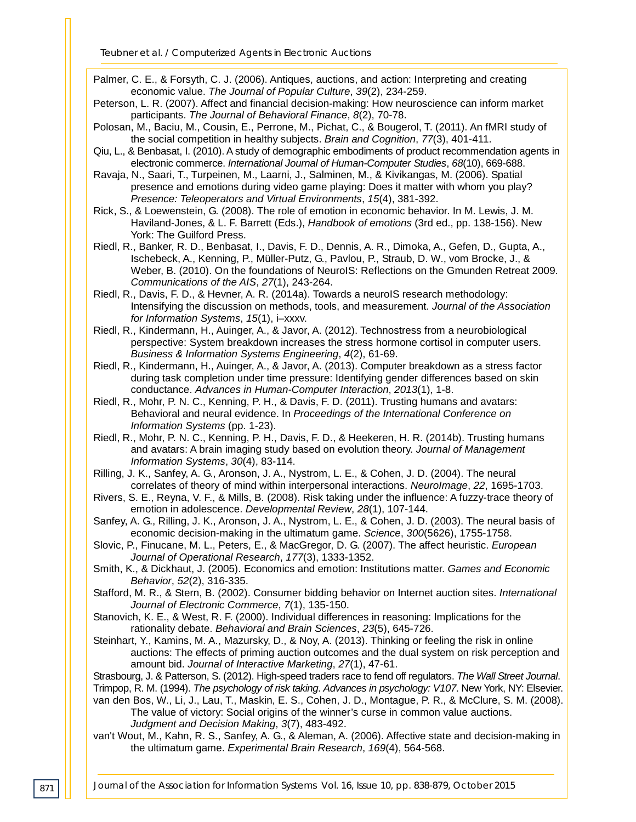Palmer, C. E., & Forsyth, C. J. (2006). Antiques, auctions, and action: Interpreting and creating economic value. *The Journal of Popular Culture*, *39*(2), 234-259.

- Peterson, L. R. (2007). Affect and financial decision-making: How neuroscience can inform market participants. *The Journal of Behavioral Finance*, *8*(2), 70-78.
- Polosan, M., Baciu, M., Cousin, E., Perrone, M., Pichat, C., & Bougerol, T. (2011). An fMRI study of the social competition in healthy subjects. *Brain and Cognition*, *77*(3), 401-411.
- Qiu, L., & Benbasat, I. (2010). A study of demographic embodiments of product recommendation agents in electronic commerce. *International Journal of Human-Computer Studies*, *68*(10), 669-688.
- Ravaja, N., Saari, T., Turpeinen, M., Laarni, J., Salminen, M., & Kivikangas, M. (2006). Spatial presence and emotions during video game playing: Does it matter with whom you play? *Presence: Teleoperators and Virtual Environments*, *15*(4), 381-392.
- Rick, S., & Loewenstein, G. (2008). The role of emotion in economic behavior. In M. Lewis, J. M. Haviland-Jones, & L. F. Barrett (Eds.), *Handbook of emotions* (3rd ed., pp. 138-156). New York: The Guilford Press.
- Riedl, R., Banker, R. D., Benbasat, I., Davis, F. D., Dennis, A. R., Dimoka, A., Gefen, D., Gupta, A., Ischebeck, A., Kenning, P., Müller-Putz, G., Pavlou, P., Straub, D. W., vom Brocke, J., & Weber, B. (2010). On the foundations of NeuroIS: Reflections on the Gmunden Retreat 2009. *Communications of the AIS*, *27*(1), 243-264.
- Riedl, R., Davis, F. D., & Hevner, A. R. (2014a). Towards a neuroIS research methodology: Intensifying the discussion on methods, tools, and measurement. *Journal of the Association for Information Systems*, *15*(1), i–xxxv.
- Riedl, R., Kindermann, H., Auinger, A., & Javor, A. (2012). Technostress from a neurobiological perspective: System breakdown increases the stress hormone cortisol in computer users. *Business & Information Systems Engineering*, *4*(2), 61-69.
- Riedl, R., Kindermann, H., Auinger, A., & Javor, A. (2013). Computer breakdown as a stress factor during task completion under time pressure: Identifying gender differences based on skin conductance. *Advances in Human-Computer Interaction*, *2013*(1), 1-8.
- Riedl, R., Mohr, P. N. C., Kenning, P. H., & Davis, F. D. (2011). Trusting humans and avatars: Behavioral and neural evidence. In *Proceedings of the International Conference on Information Systems* (pp. 1-23).
- Riedl, R., Mohr, P. N. C., Kenning, P. H., Davis, F. D., & Heekeren, H. R. (2014b). Trusting humans and avatars: A brain imaging study based on evolution theory. *Journal of Management Information Systems*, *30*(4), 83-114.
- Rilling, J. K., Sanfey, A. G., Aronson, J. A., Nystrom, L. E., & Cohen, J. D. (2004). The neural correlates of theory of mind within interpersonal interactions. *NeuroImage*, *22*, 1695-1703.
- Rivers, S. E., Reyna, V. F., & Mills, B. (2008). Risk taking under the influence: A fuzzy-trace theory of emotion in adolescence. *Developmental Review*, *28*(1), 107-144.
- Sanfey, A. G., Rilling, J. K., Aronson, J. A., Nystrom, L. E., & Cohen, J. D. (2003). The neural basis of economic decision-making in the ultimatum game. *Science*, *300*(5626), 1755-1758.
- Slovic, P., Finucane, M. L., Peters, E., & MacGregor, D. G. (2007). The affect heuristic. *European Journal of Operational Research*, *177*(3), 1333-1352.
- Smith, K., & Dickhaut, J. (2005). Economics and emotion: Institutions matter. *Games and Economic Behavior*, *52*(2), 316-335.
- Stafford, M. R., & Stern, B. (2002). Consumer bidding behavior on Internet auction sites. *International Journal of Electronic Commerce*, *7*(1), 135-150.
- Stanovich, K. E., & West, R. F. (2000). Individual differences in reasoning: Implications for the rationality debate. *Behavioral and Brain Sciences*, *23*(5), 645-726.
- Steinhart, Y., Kamins, M. A., Mazursky, D., & Noy, A. (2013). Thinking or feeling the risk in online auctions: The effects of priming auction outcomes and the dual system on risk perception and amount bid. *Journal of Interactive Marketing*, *27*(1), 47-61.

Strasbourg, J. & Patterson, S. (2012). High-speed traders race to fend off regulators. *The Wall Street Journal*.

Trimpop, R. M. (1994). *The psychology of risk taking*. *Advances in psychology: V107*. New York, NY: Elsevier. van den Bos, W., Li, J., Lau, T., Maskin, E. S., Cohen, J. D., Montague, P. R., & McClure, S. M. (2008).

The value of victory: Social origins of the winner's curse in common value auctions. *Judgment and Decision Making*, *3*(7), 483-492.

van't Wout, M., Kahn, R. S., Sanfey, A. G., & Aleman, A. (2006). Affective state and decision-making in the ultimatum game. *Experimental Brain Research*, *169*(4), 564-568.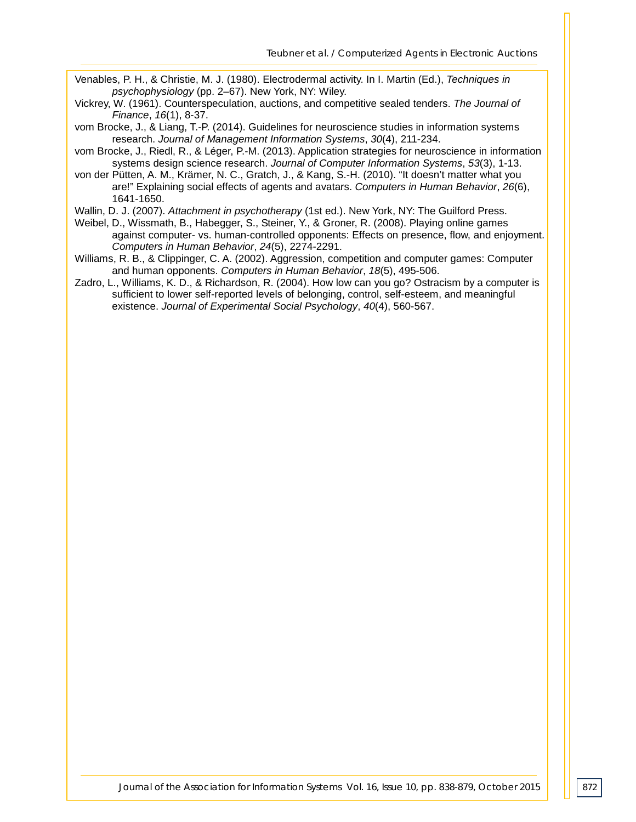- Venables, P. H., & Christie, M. J. (1980). Electrodermal activity. In I. Martin (Ed.), *Techniques in psychophysiology* (pp. 2–67). New York, NY: Wiley.
- Vickrey, W. (1961). Counterspeculation, auctions, and competitive sealed tenders. *The Journal of Finance*, *16*(1), 8-37.
- vom Brocke, J., & Liang, T.-P. (2014). Guidelines for neuroscience studies in information systems research. *Journal of Management Information Systems*, *30*(4), 211-234.
- vom Brocke, J., Riedl, R., & Léger, P.-M. (2013). Application strategies for neuroscience in information systems design science research. *Journal of Computer Information Systems*, *53*(3), 1-13.
- von der Pütten, A. M., Krämer, N. C., Gratch, J., & Kang, S.-H. (2010). "It doesn't matter what you are!" Explaining social effects of agents and avatars. *Computers in Human Behavior*, *26*(6), 1641-1650.
- Wallin, D. J. (2007). *Attachment in psychotherapy* (1st ed.). New York, NY: The Guilford Press.
- Weibel, D., Wissmath, B., Habegger, S., Steiner, Y., & Groner, R. (2008). Playing online games against computer- vs. human-controlled opponents: Effects on presence, flow, and enjoyment. *Computers in Human Behavior*, *24*(5), 2274-2291.
- Williams, R. B., & Clippinger, C. A. (2002). Aggression, competition and computer games: Computer and human opponents. *Computers in Human Behavior*, *18*(5), 495-506.
- Zadro, L., Williams, K. D., & Richardson, R. (2004). How low can you go? Ostracism by a computer is sufficient to lower self-reported levels of belonging, control, self-esteem, and meaningful existence. *Journal of Experimental Social Psychology*, *40*(4), 560-567.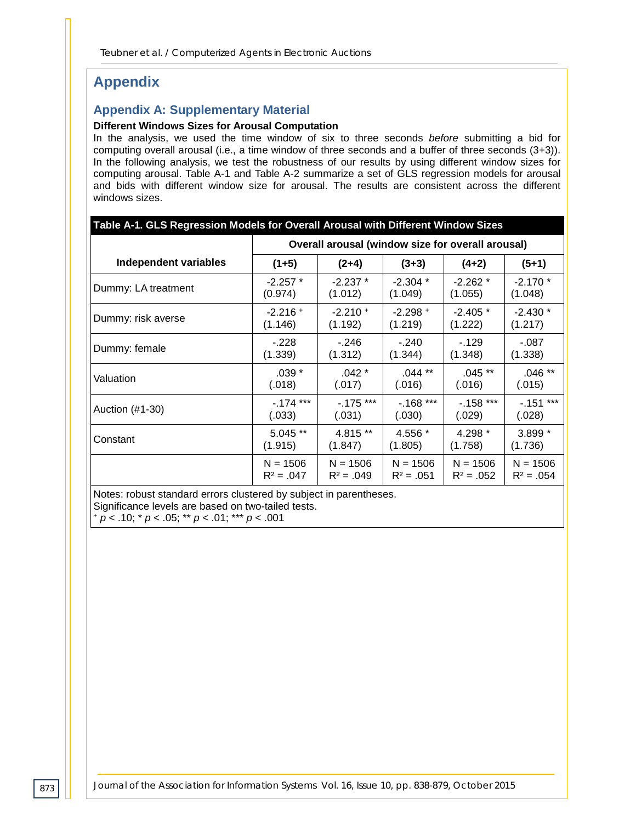# **Appendix**

#### **Appendix A: Supplementary Material**

#### **Different Windows Sizes for Arousal Computation**

In the analysis, we used the time window of six to three seconds *before* submitting a bid for computing overall arousal (i.e., a time window of three seconds and a buffer of three seconds (3+3)). In the following analysis, we test the robustness of our results by using different window sizes for computing arousal. Table A-1 and Table A-2 summarize a set of GLS regression models for arousal and bids with different window size for arousal. The results are consistent across the different windows sizes.

|                              |              | Overall arousal (window size for overall arousal) |              |              |              |  |  |
|------------------------------|--------------|---------------------------------------------------|--------------|--------------|--------------|--|--|
| <b>Independent variables</b> | $(1+5)$      | $(2+4)$                                           | $(3+3)$      | $(4+2)$      | $(5+1)$      |  |  |
| Dummy: LA treatment          | $-2.257$ *   | $-2.237*$                                         | $-2.304*$    | $-2.262*$    | $-2.170*$    |  |  |
|                              | (0.974)      | (1.012)                                           | (1.049)      | (1.055)      | (1.048)      |  |  |
| Dummy: risk averse           | $-2.216 +$   | $-2.210 +$                                        | $-2.298 +$   | $-2.405*$    | $-2.430*$    |  |  |
|                              | (1.146)      | (1.192)                                           | (1.219)      | (1.222)      | (1.217)      |  |  |
| Dummy: female                | $-228$       | $-.246$                                           | $-240$       | $-129$       | $-0.087$     |  |  |
|                              | (1.339)      | (1.312)                                           | (1.344)      | (1.348)      | (1.338)      |  |  |
| Valuation                    | $.039*$      | $.042 *$                                          | $.044$ **    | $.045**$     | $.046**$     |  |  |
|                              | (.018)       | (.017)                                            | (.016)       | (.016)       | (.015)       |  |  |
| Auction (#1-30)              | $-174$ ***   | $-.175$ ***                                       | $-168$ ***   | $-.158$ ***  | $-151$ ***   |  |  |
|                              | (.033)       | (.031)                                            | (.030)       | (.029)       | (.028)       |  |  |
| Constant                     | 5.045 **     | 4.815 **                                          | 4.556 *      | 4.298 *      | 3.899 *      |  |  |
|                              | (1.915)      | (1.847)                                           | (1.805)      | (1.758)      | (1.736)      |  |  |
|                              | $N = 1506$   | $N = 1506$                                        | $N = 1506$   | $N = 1506$   | $N = 1506$   |  |  |
|                              | $R^2 = .047$ | $R^2 = .049$                                      | $R^2 = .051$ | $R^2 = .052$ | $R^2 = .054$ |  |  |

Notes: robust standard errors clustered by subject in parentheses. Significance levels are based on two-tailed tests. <sup>+</sup> *p* < .10; \* *p* < .05; \*\* *p* < .01; \*\*\* *p* < .001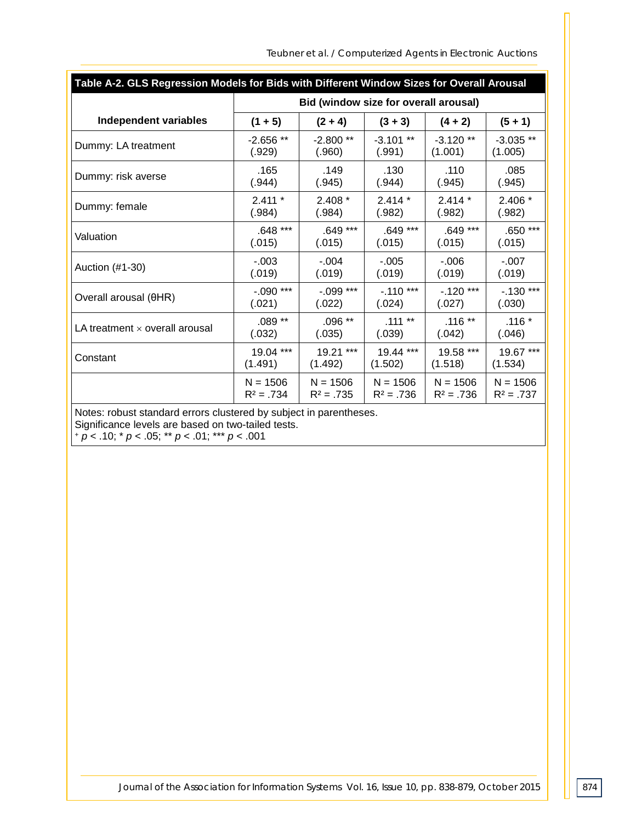|  | Teubner et al. / Computerized Agents in Electronic Auctions |
|--|-------------------------------------------------------------|
|  |                                                             |

| Table A-2. GLS Regression Models for Bids with Different Window Sizes for Overall Arousal |              |                                       |              |              |              |  |  |
|-------------------------------------------------------------------------------------------|--------------|---------------------------------------|--------------|--------------|--------------|--|--|
|                                                                                           |              | Bid (window size for overall arousal) |              |              |              |  |  |
| <b>Independent variables</b>                                                              | $(1 + 5)$    | $(2 + 4)$                             | $(3 + 3)$    | $(4 + 2)$    | $(5 + 1)$    |  |  |
| Dummy: LA treatment                                                                       | $-2.656**$   | $-2.800**$                            | $-3.101**$   | $-3.120**$   | $-3.035**$   |  |  |
|                                                                                           | (.929)       | (.960)                                | (.991)       | (1.001)      | (1.005)      |  |  |
| Dummy: risk averse                                                                        | .165         | .149                                  | .130         | .110         | .085         |  |  |
|                                                                                           | (.944)       | (.945)                                | (.944)       | (.945)       | (.945)       |  |  |
| Dummy: female                                                                             | $2.411*$     | $2.408*$                              | $2.414*$     | $2.414*$     | 2.406 *      |  |  |
|                                                                                           | (.984)       | (.984)                                | (.982)       | (.982)       | (.982)       |  |  |
| Valuation                                                                                 | $.648***$    | $.649***$                             | .649 ***     | .649 ***     | .650 ***     |  |  |
|                                                                                           | (.015)       | (.015)                                | (.015)       | (.015)       | (.015)       |  |  |
| Auction (#1-30)                                                                           | $-0.003$     | $-.004$                               | $-.005$      | $-0.06$      | $-.007$      |  |  |
|                                                                                           | (.019)       | (.019)                                | (.019)       | (.019)       | (.019)       |  |  |
| Overall arousal (θHR)                                                                     | $-.090$ ***  | $-0.099$ ***                          | $-.110$ ***  | $-.120$ ***  | $-130$ ***   |  |  |
|                                                                                           | (.021)       | (.022)                                | (.024)       | (.027)       | (.030)       |  |  |
| LA treatment $\times$ overall arousal                                                     | $.089**$     | .096 **                               | $.111***$    | $.116**$     | $.116*$      |  |  |
|                                                                                           | (.032)       | (.035)                                | (.039)       | (.042)       | (.046)       |  |  |
| Constant                                                                                  | 19.04 ***    | 19.21 ***                             | 19.44 ***    | 19.58 ***    | 19.67 ***    |  |  |
|                                                                                           | (1.491)      | (1.492)                               | (1.502)      | (1.518)      | (1.534)      |  |  |
|                                                                                           | $N = 1506$   | $N = 1506$                            | $N = 1506$   | $N = 1506$   | $N = 1506$   |  |  |
|                                                                                           | $R^2 = .734$ | $R^2 = .735$                          | $R^2 = .736$ | $R^2 = .736$ | $R^2 = .737$ |  |  |

Notes: robust standard errors clustered by subject in parentheses.

Significance levels are based on two-tailed tests.

<sup>+</sup> *p* < .10; \* *p* < .05; \*\* *p* < .01; \*\*\* *p* < .001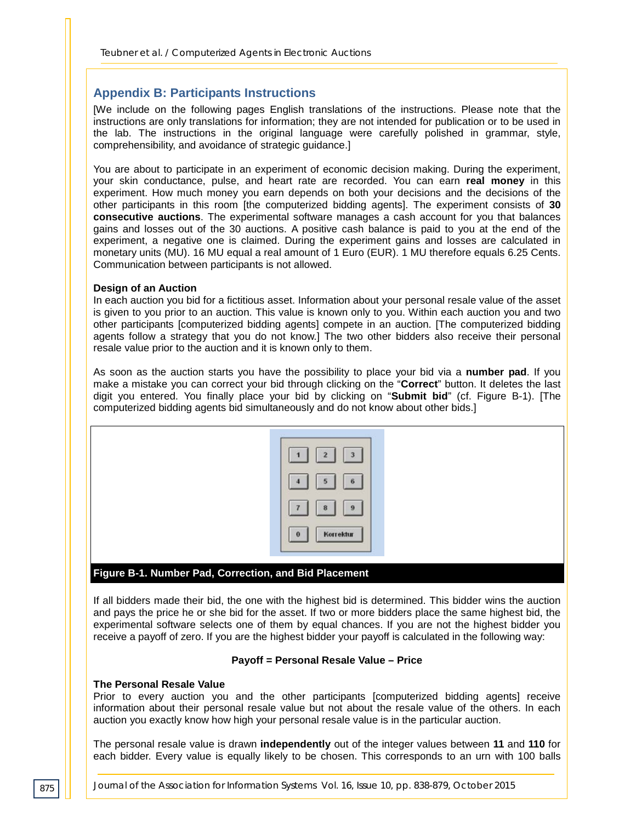#### **Appendix B: Participants Instructions**

[We include on the following pages English translations of the instructions. Please note that the instructions are only translations for information; they are not intended for publication or to be used in the lab. The instructions in the original language were carefully polished in grammar, style, comprehensibility, and avoidance of strategic guidance.]

You are about to participate in an experiment of economic decision making. During the experiment, your skin conductance, pulse, and heart rate are recorded. You can earn **real money** in this experiment. How much money you earn depends on both your decisions and the decisions of the other participants in this room [the computerized bidding agents]. The experiment consists of **30 consecutive auctions**. The experimental software manages a cash account for you that balances gains and losses out of the 30 auctions. A positive cash balance is paid to you at the end of the experiment, a negative one is claimed. During the experiment gains and losses are calculated in monetary units (MU). 16 MU equal a real amount of 1 Euro (EUR). 1 MU therefore equals 6.25 Cents. Communication between participants is not allowed.

#### **Design of an Auction**

In each auction you bid for a fictitious asset. Information about your personal resale value of the asset is given to you prior to an auction. This value is known only to you. Within each auction you and two other participants [computerized bidding agents] compete in an auction. [The computerized bidding agents follow a strategy that you do not know.] The two other bidders also receive their personal resale value prior to the auction and it is known only to them.

As soon as the auction starts you have the possibility to place your bid via a **number pad**. If you make a mistake you can correct your bid through clicking on the "**Correct**" button. It deletes the last digit you entered. You finally place your bid by clicking on "**Submit bid**" (cf. Figure B-1). [The computerized bidding agents bid simultaneously and do not know about other bids.]



If all bidders made their bid, the one with the highest bid is determined. This bidder wins the auction and pays the price he or she bid for the asset. If two or more bidders place the same highest bid, the experimental software selects one of them by equal chances. If you are not the highest bidder you receive a payoff of zero. If you are the highest bidder your payoff is calculated in the following way:

#### **Payoff = Personal Resale Value – Price**

#### **The Personal Resale Value**

Prior to every auction you and the other participants [computerized bidding agents] receive information about their personal resale value but not about the resale value of the others. In each auction you exactly know how high your personal resale value is in the particular auction.

The personal resale value is drawn **independently** out of the integer values between **11** and **110** for each bidder. Every value is equally likely to be chosen. This corresponds to an urn with 100 balls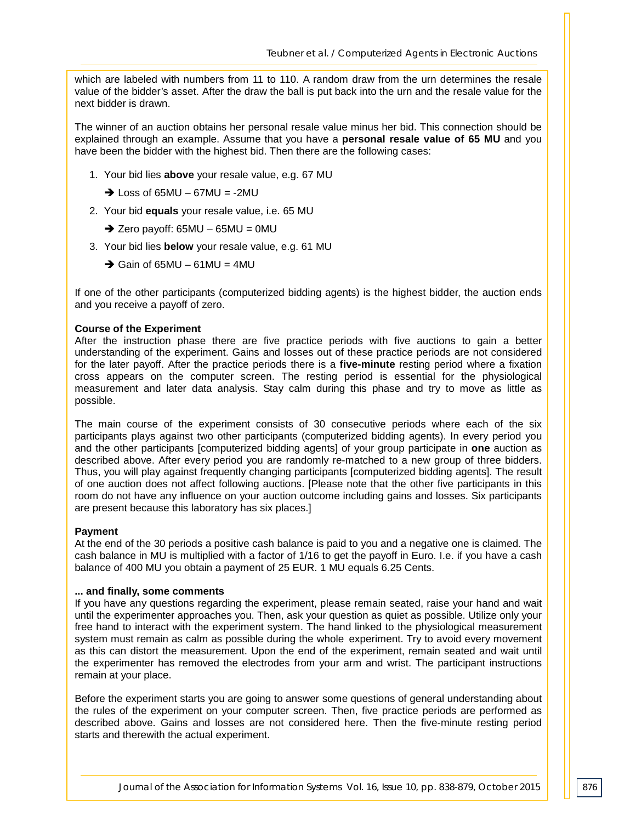which are labeled with numbers from 11 to 110. A random draw from the urn determines the resale value of the bidder's asset. After the draw the ball is put back into the urn and the resale value for the next bidder is drawn.

The winner of an auction obtains her personal resale value minus her bid. This connection should be explained through an example. Assume that you have a **personal resale value of 65 MU** and you have been the bidder with the highest bid. Then there are the following cases:

- 1. Your bid lies **above** your resale value, e.g. 67 MU
	- $\rightarrow$  Loss of 65MU 67MU = -2MU
- 2. Your bid **equals** your resale value, i.e. 65 MU
	- $\rightarrow$  Zero payoff: 65MU 65MU = 0MU
- 3. Your bid lies **below** your resale value, e.g. 61 MU
	- $\rightarrow$  Gain of 65MU 61MU = 4MU

If one of the other participants (computerized bidding agents) is the highest bidder, the auction ends and you receive a payoff of zero.

#### **Course of the Experiment**

After the instruction phase there are five practice periods with five auctions to gain a better understanding of the experiment. Gains and losses out of these practice periods are not considered for the later payoff. After the practice periods there is a **five-minute** resting period where a fixation cross appears on the computer screen. The resting period is essential for the physiological measurement and later data analysis. Stay calm during this phase and try to move as little as possible.

The main course of the experiment consists of 30 consecutive periods where each of the six participants plays against two other participants (computerized bidding agents). In every period you and the other participants [computerized bidding agents] of your group participate in **one** auction as described above. After every period you are randomly re-matched to a new group of three bidders. Thus, you will play against frequently changing participants [computerized bidding agents]. The result of one auction does not affect following auctions. [Please note that the other five participants in this room do not have any influence on your auction outcome including gains and losses. Six participants are present because this laboratory has six places.]

#### **Payment**

At the end of the 30 periods a positive cash balance is paid to you and a negative one is claimed. The cash balance in MU is multiplied with a factor of 1/16 to get the payoff in Euro. I.e. if you have a cash balance of 400 MU you obtain a payment of 25 EUR. 1 MU equals 6.25 Cents.

#### **... and finally, some comments**

If you have any questions regarding the experiment, please remain seated, raise your hand and wait until the experimenter approaches you. Then, ask your question as quiet as possible. Utilize only your free hand to interact with the experiment system. The hand linked to the physiological measurement system must remain as calm as possible during the whole experiment. Try to avoid every movement as this can distort the measurement. Upon the end of the experiment, remain seated and wait until the experimenter has removed the electrodes from your arm and wrist. The participant instructions remain at your place.

Before the experiment starts you are going to answer some questions of general understanding about the rules of the experiment on your computer screen. Then, five practice periods are performed as described above. Gains and losses are not considered here. Then the five-minute resting period starts and therewith the actual experiment.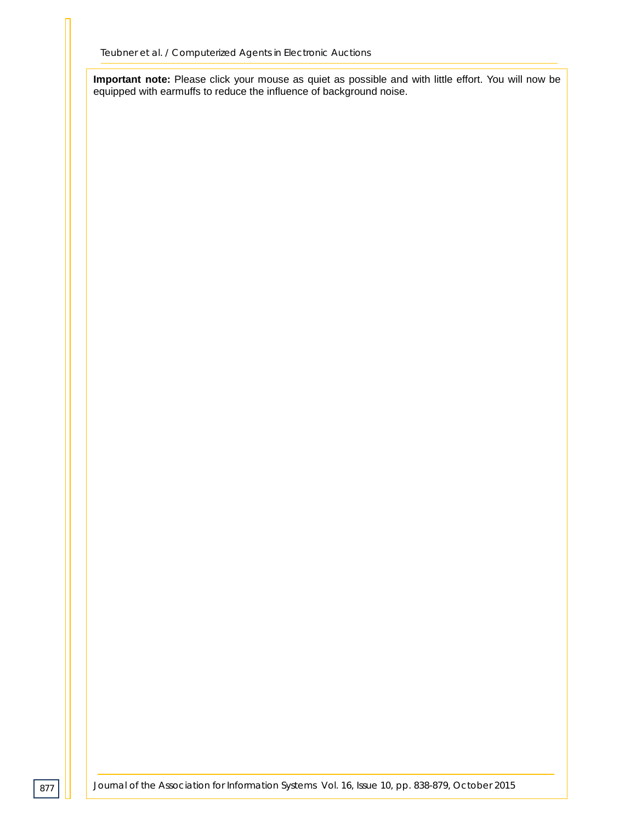**Important note:** Please click your mouse as quiet as possible and with little effort. You will now be equipped with earmuffs to reduce the influence of background noise.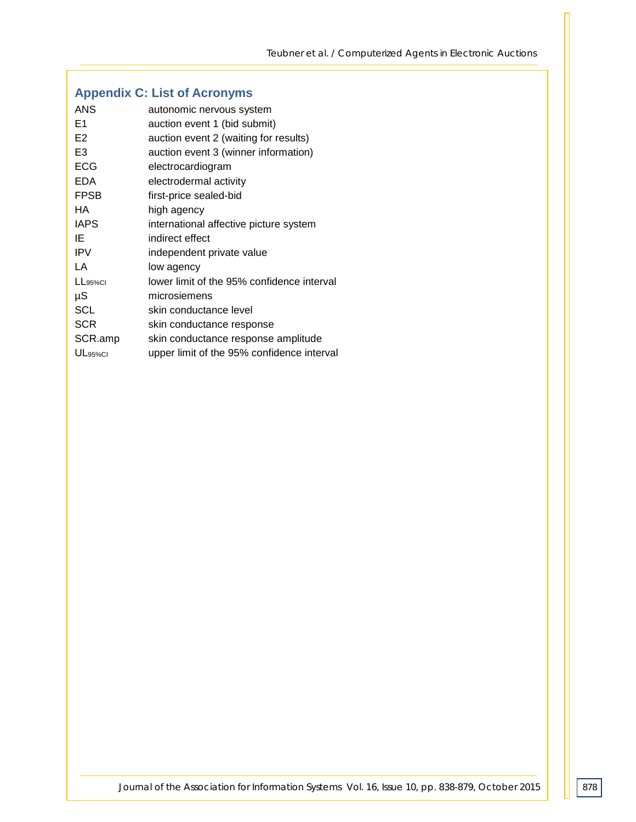# **Appendix C: List of Acronyms**

| <b>ANS</b>          | autonomic nervous system                   |
|---------------------|--------------------------------------------|
| E1                  | auction event 1 (bid submit)               |
| E <sub>2</sub>      | auction event 2 (waiting for results)      |
| E <sub>3</sub>      | auction event 3 (winner information)       |
| <b>ECG</b>          | electrocardiogram                          |
| <b>EDA</b>          | electrodermal activity                     |
| <b>FPSB</b>         | first-price sealed-bid                     |
| HA.                 | high agency                                |
| <b>IAPS</b>         | international affective picture system     |
| ΙE                  | indirect effect                            |
| <b>IPV</b>          | independent private value                  |
| LA                  | low agency                                 |
| $L_{95\%}$ CI       | lower limit of the 95% confidence interval |
| μS                  | microsiemens                               |
| SCL                 | skin conductance level                     |
| <b>SCR</b>          | skin conductance response                  |
| SCR.amp             | skin conductance response amplitude        |
| UL <sub>95%CI</sub> | upper limit of the 95% confidence interval |

*Journal of the Association for Information Systems Vol. 16, Issue 10, pp. 838-879, October 2015*